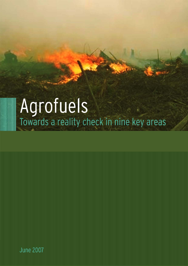# Agrofuels<br>Towards a reality check in nine key areas

**June 2007**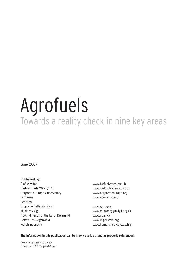# Towards a reality check in nine key areas Agrofuels

June 2007

#### **Published by:**

Biofuelwatch **Biofuelwatch** www.biofuelwatch.org.uk Carbon Trade Watch/TNI **WATCH CONTROLLER WATCH WATCH WATCH WATCH CONTROLLER** Corporate Europe Observatory **WALCOREGO ENGINEEY CORPORATION** www.corporateeurope.org Econexus **Econexus Econexus.info** Ecoropa Grupo de Reflexión Rural **antica en el contrato de Serverse** www.grr.org.ar Munlochy Vigil **Munlochy** Vigil **www.munlochygmvigil.org.uk** NOAH (Friends of the Earth Denmark) www.noah.dk Rettet Den Regenwald and a metal www.regenwald.org Watch Indonesia **WATCH Indonesia** www.home.snafu.de/watchin/

#### **The information in this publication can be freely used, as long as properly referenced.**

Cover Design: Ricardo Santos Printed on 100% Recycled Paper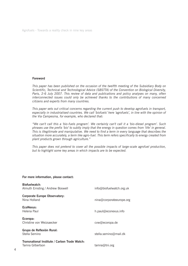#### **Foreword**

*This paper has been published on the occasion of the twelfth meeting of the Subsidiary Body on Scientific, Technical and Technological Advice (SBSTTA) of the Convention on Biological Diversity, Paris, 2-6 July 2007. This review of data and publications and policy analyses on many, often*  interconnected issues could only be achieved thanks to the contributions of many concerned *citizens and experts from many countries.*

*This paper sets out critical concerns regarding the current push to develop agrofuels in transport, especially in industrialised countries. We call 'biofuels' here 'agrofuels', in line with the opinion of the Via Campesina, for example, who declared that:* 

*"We can't call this a 'bio-fuels program'. We certainly can't call it a 'bio-diesel program'. Such phrases use the prefix 'bio' to subtly imply that the energy in question comes from 'life' in general. This is illegitimate and manipulative. We need to find a term in every language that describes the situation more accurately, a term like agro-fuel. This term refers specifically to energy created from plant products grown through agriculture."*

*This paper does not pretend to cover all the possible impacts of large-scale agrofuel production, but to highlight some key areas in which impacts are to be expected.*

#### **For more information, please contact:**

| Biofuelwatch:<br>Almuth Ernsting / Andrew Boswell                 | info@biofuelwatch.org.uk |
|-------------------------------------------------------------------|--------------------------|
| <b>Corporate Europe Observatory:</b><br>Nina Holland              | nina@corporateeurope.org |
| FcoNexus:<br>Helena Paul                                          | h.paul@econexus.info     |
| Ecoropa:<br>Christine von Weizsaecker                             | cvw@ecoropa.de           |
| Grupo de Reflexión Rural:<br>Stella Semino                        | stella.semino@mail.dk    |
| Transnational Institute / Carbon Trade Watch:<br>Tamra Gilbertson | tamra@tni.org            |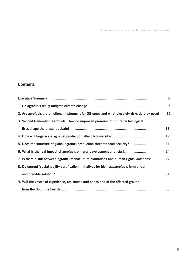Agrofuels - Towards a reality check in nine key areas

# **Contents**

|                                                                                               | 6  |
|-----------------------------------------------------------------------------------------------|----|
|                                                                                               | 9  |
| 2. Are agrofuels a promotional instrument for GE crops and what biosafety risks do they pose? | 11 |
| 3. Second Generation Agrofuels: How do unproven promises of future technological              |    |
|                                                                                               | 13 |
| 4. How will large scale agrofuel production affect biodiversity?                              | 17 |
| 5. Does the structure of global agrofuel production threaten food security?                   | 21 |
| 6. What is the real impact of agrofuels on rural development and jobs?                        | 24 |
| 7. Is there a link between agrofuel monoculture plantations and human rights violations?      | 27 |
| 8. Do current 'sustainability certification' initiatives for biomass/agrofuels form a real    |    |
|                                                                                               | 31 |
| 9. Will the voices of experience, resistance and opposition of the affected groups            |    |
|                                                                                               | 33 |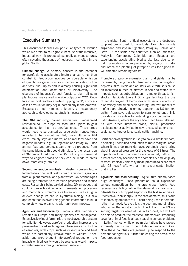Agrofuels - Towards a reality check in nine key areas

## **Executive Summary**

This document focuses on particular types of 'biofuel' which we prefer to call agrofuel because of the intensive, industrial way it is produced, generally as monocultures, often covering thousands of hectares, most often in the global South.

**Climate change:** A primary concern is the potential for agrofuels to accelerate climate change, rather than combat it. Production involves considerable emission of greenhouse gases from soils, carbon sink destruction and fossil fuel inputs and is already causing significant deforestation and destruction of biodiversity. The clearance of Indonesia's peat forests to plant oil palm plantations has caused massive outputs of CO2. Once forest removal reaches a certain 'tipping point', a process of self destruction may begin, particularly in the Amazon. Because so much remains unknown, a precautionary approach to developing agrofuels is necessary.

**The GM industry,** having encountered widespread resistance to GM crops for food, has plans to gain acceptance for them as agrofuel crops. These crops would need to be planted as large-scale monocultures in order to be competitive. Yet, monocultures of GM crops (mainly soya and maize) as animal feed have had negative impacts, e.g.: in Argentina and Paraguay. Since animal feed and agrofuels can often be produced from the same biomass this could stimulate further expansion of GM crops. In addition, the GM industry is looking at ways to engineer crops so they can be made to break down more easily into fuel.

**Second generation agrofuels**: Industry promises future technologies that will yield cheap abundant agrofuels from all plant material and plant waste. GM technologies are being promoted to streamline processes and reduce costs. Research is being carried out into GM microbes that could improve breakdown and fermentation processes and methods to streamline cellulose and reduce lignin or even change its nature. Synthetic biology is a new approach that involves using genetic information to build completely new organisms with unknown impacts.

**Agrofuels and biodiversity:** Precious little biodiversity remains in Europe and many species are endangered. Extensive, low input farming is the most favourable system for wildlife. However, agrofuel production increases the pressure to convert such regions into intensive production of agrofuels, with crops such as oilseed rape and beet which are particularly unfavourable to wildlife. If setaside land were brought into agrofuel production, the impacts on biodiversity would be severe, as would impacts on water reserves through increased irrigation.

In the global South, critical ecosystems are destroyed to plant crops used for agrofuels. Examples include sugarcane and soya in Argentina, Paraguay, Bolivia, and Brazil. At the same time countries such as Indonesia, Malaysia, Cameroon, Colombia and Ecuador are experiencing accelerating biodiversity loss due to oil palm plantations, often preceded by logging. In India and Africa the planting of jatropha trees for agrodiesel will threaten remaining forests.

Promoters of agrofuel expansion claim that yields must be increased by using more fertiliser and irrigation. Irrigation depletes lakes, rivers and aquifers while fertilisers cause an increased burden of nitrates in soil and water, with impacts such as eutrophication – a major threat to fish stocks. Herbicide tolerant GE crops facilitate the use of aerial spraying of herbicides with serious effects on biodiversity and small-scale farming. Indirect impacts of biofuels are already becoming apparent as US farmers switch from soya cultivation to corn for ethanol. This provides an incentive for extending soya cultivation in Latin America, where the soya boom had been faltering. As with other intensive crops, biofuel production displaces other activities to new areas, whether smallscale agriculture or large-scale cattle ranching.

Certification of agrofuels is likely to have a similar impact, displacing uncertified production to more marginal areas where it may do more damage. Agrofuels could bring about increased pressure for the release of GE trees. The impacts on forest biodiversity are extremely difficult to predict precisely because of the complexity and longevity of trees. Ironically, this may mean pressure to experiment with GE trees *in situ* with all the risks of contamination that implies.

**Agrofuels and food security:** Agriculture already faces huge challenges. Food production could experience serious competition from energy crops. World food reserves are falling while the demand for grains and oilseeds has outstripped supply for the last seven years. Prices have risen sharply. In the case of maize, this is due to increasing amounts of US corn being used for ethanol rather than food. As ever, it is the poor and marginalized who suffer the worst impacts. The EU and the US are setting targets for agrofuel use in transport, but will not be able to produce the feedstock themselves. Producing soya for animal feed is already causing serious problems in Latin America, while oil palm plantations have proved extremely destructive in both Latin America and Asia. Now these countries are gearing up to respond to the demand for agrofuels, further increasing the pressure on food production.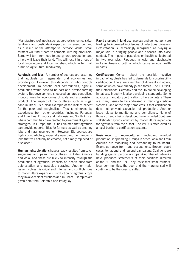'Manufacturers of inputs such as agrotoxic chemicals (i.e. fertilizers and pesticides) expect an increased demand as a result of the attempt to increase yields. Small farmers will find it hard to compete with big producers. Some will turn from food to energy crop production and others will leave their land. This will result in a loss of local knowledge and local varieties, which in turn will diminish agricultural biodiversity.'

**Agrofuels and jobs**: A number of sources are asserting that agrofuels can regenerate rural economies and provide jobs. However, this depends on who controls development. To benefit local communities, agrofuel production would need to be part of a diverse farming system. But development is focused on large centralized monocultures for economies of scale and a consistent product. The impact of monocultures such as sugar cane in Brazil, is a clear example of the lack of benefit for the poor and marginalized. This is reinforced by experiences from other countries, including Paraguay and Argentina, Ecuador and Indonesia and South Africa, where communities have reacted to government agrofuel strategies. In Europe, the EC has claimed that agrofuels can provide opportunities for farmers as well as creating jobs and rural regeneration. However EU sources are highly contradictory, especially regarding the number of jobs that will actually be created, not simply replaced or displaced.'

**Human rights violations** have already resulted from soya, sugarcane and palm monocultures in Latin America and Asia, and these are likely to intensify through the production of agrofuels. Impacts on health arise from deforestation and pesticide spraying. Another major issue involves historical and intense land conflicts, due to monoculture expansion. Production of agrofuel crops may involve violent evictions and murders. Examples are given here from Colombia and Paraguay.

**Rapid changes in land use**, ecology and demography are leading to increased incidences of infectious diseases. Deforestation is increasingly recognised as playing a major role in bringing people and diseases into close contact. The impact of pesticides on health is illustrated by two examples: Paraquat in Asia and glyphosate in Latin America, both of which cause serious health impacts.

**Certification:** Concern about the possible negative impact of agrofuels has led to demands for sustainability certification. There are a number of different initiatives, some of which have already joined forces. The EU itself, the Netherlands, Germany and the UK are all developing initiatives. Industry is also developing standards. Some advocate mandatory certification, others voluntary. There are many issues to be addressed in devising credible systems. One of the major problems is that certification does not prevent expansion of production. Another issue relates to monitoring and compliance. None of those currently being developed have included Southern stakeholder groups affected by monoculture expansion for agrofuels from the outset. The WTO is often cited as a legal barrier to certification systems.

**Resistance to monocultures,** including agrofuel production, is spreading. Groups in Africa, Asia and Latin America are mobilising and demanding to be heard. Examples range from land occupations, through court cases, to national and regional campaigns. Coalitions are building against particular crops. A number of networks have produced statements of their positions directed at the EU and the UN. They insist that small farmers, local communities, the poor and the marginalised will continue to be the ones to suffer.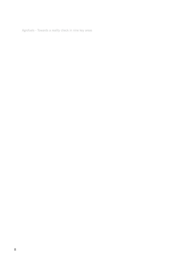Agrofuels - Towards a reality check in nine key areas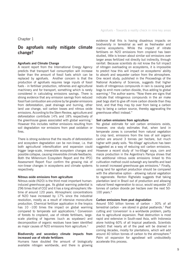Chapter 1

## **Do agrofuels really mitigate climate change?**

#### **Agrofuels and Climate Change**

A recent report from the International Energy Agency predicts that transport fuel consumption will increase faster than the amount of fossil fuels which can be replaced by agrofuels. Another concern is that the production of agrofuels requires large inputs of fossil fuels - in fertiliser production, refineries and agricultural machinery and for transport, something which is rarely considered in calculating emissions savings. There is strong evidence that any emission savings from reduced fossil fuel combustion are undone by far greater emissions from deforestation, peat drainage and burning, other land use change, soil carbon losses and nitrous oxide emissions. According to the Stern Review, agriculture and deforestation contribute 14% and 18% respectively of the greenhouse gases associated with global warming.<sup>1</sup> However this includes neither emissions resulting from soil degradation nor emissions from peat oxidation or fires.

There is strong evidence that the results of deforestation and ecosystem degradation can be non-linear, i.e. that both agricultural intensification and expansion could trigger large-scale, irreversible ecosystem changes and possible collapse, causing irreversible climate feedbacks. Both the Millennium Ecosystem Report and the IPCC Assessment Report Four confirm the growing risk of non-linear changes in ecosystems and climate systems respectively.

#### **Nitrous oxide emissions from agriculture**

Nitrous oxide (N2O) is the third most important humaninduced greenhouse gas. Its global warming potential is 296 times that of CO2 and it has a long atmospheric lifetime of around 120 years. Atmospheric concentrations of N2O have increased by 17% since the industrial revolution, mostly as a result of intensive monoculture production. Chemical fertilizer application in the tropics has 10 -100 times the impact on global warming compared to temperate soil applications.2 Conversion of forests to cropland, use of nitrate fertilisers, largescale planting of legumes (such as soyabean) and decomposition of organic residues have been identified as major causes of N2O emissions from agriculture.<sup>3</sup>

#### **Biodiversity and secondary climate impacts from increased use of nitrate fertilizers**

Humans have doubled the amount of biologically available nitrogen worldwide, and there is growing

evidence that this is having disastrous impacts on biodiversity in terrestrial as well as freshwater and marine ecosystems. While the impact of nitrate fertilisers on N2O emissions from cropland has been studied, little is known about similar soil emissions over larger areas fertilized not directly but indirectly, through rainfall. Because scientists do not know the full impact of nitrogen overloading on ecosystems, it is impossible to predict how this will impact on ecosystems' ability to absorb and sequester carbon from the atmosphere. One recent study, published in the Proceedings of the National Academy of Sciences, suggests that higher levels of nitrogenous compounds in rain is causing peat bogs to emit more carbon dioxide, thus adding to global warming.4 The author warns: "Now there are signs that indicate that nitrogenous compounds in the air make peat bogs start to give off more carbon dioxide than they bind, and that they may tip over from being a carbon trap to being a carbon source, thereby aggravating the greenhouse effect instead."

#### **Soil carbon emissions from agriculture**

No global estimate for soil carbon emissions exists, however, one study estimates that, when land in temperate zones is converted from natural vegetation to crop land, emissions from the loss of soil organic carbon are around 3 tonnes per hectare, but much higher with peaty soils. 'No-tillage' agriculture has been suggested as a way of reducing soil carbon emissions. However a recent study of 'no-tillage' soya, corn and maize production in the Argentina's Pampa shows that the additional nitrous oxide emissions linked to this cultivation method could outweigh any benefits and lead to overall increased greenhouse gas emissions.<sup>5</sup> Finally, using land for agrofuel production should be compared with the alternative option - allowing natural vegetation to regenerate. Renton Righelato suggests that taking plantation land in Brazil out of production and allowing natural forest regeneration to occur, would sequester 20 tonnes of carbon dioxide per hectare over the next 50- 100 years. $6$ 

#### **Carbon emissions from peat degradation**

Around 550 billion tonnes of carbon - 30% of all terrestrial carbon – are stored in global peatlands.7 Peat cutting and 'conversion' is a worldwide problem, partly due to agricultural expansion. Peat destruction is most rapid and extensive in South-east Asia, with Indonesia alone holding 60% of all tropical peatlands. Scientists predict that nearly all of the peat will be drained in coming decades, mostly for plantations, which will add around 40 billion tonnes of carbon to the atmosphere.<sup>8</sup> Palm oil expansion for agrodiesel will undoubtedly accelerate this process.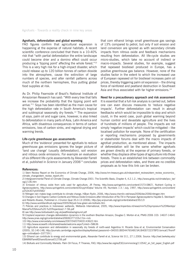#### **Agrofuels, deforestation and global warming**

FAO figures confirm that agricultural expansion is happening at the expense of natural habitats. A recent scientific conference concluded that there is a 10-40% risk that "with partial deforestation the entire landscape could become drier and a domino effect could occur producing a 'tipping point' affecting the whole forest."10 This is a very high risk for a high-impact disaster, which could release up to 120 billion tonnes of carbon dioxide into the atmosphere, cause the extinction of large numbers of species, and alter rainfall patterns across much of the northern hemisphere, thus putting global food supplies at risk.

As Dr. Philip Fearnside of Brazil's National Institute of Amazonian Research has said: "With every tree that falls we increase the probability that the tipping point will arrive."11 Soya has been identified as the main cause for the high deforestation rate in South America's tropical and subtropical seasonally dry forests.<sup>12</sup> The expansion of soya, palm oil and sugar cane, however, is also linked to deforestation in many parts of Asia, Latin America and Africa, with disastrous consequences in terms of carbon emissions, loss of carbon sinks, and regional drying and warming trends.

#### **Life-cycle greenhouse gas assessments**

Much of the 'evidence' presented for agrofuels to reduce greenhouse gas emissions ignores the larger picture of 'land use change' (usually deforestation), soil erosion and nitrous oxide emissions. For example an evaluation of six different life-cycle assessments by Alexander Farrell et al, published in *Science* in January 200613 concludes

that corn ethanol brings small greenhouse gas savings of 13% compared to petrol, but only if soil erosion and land conversion are ignored as with secondary climate impacts from nitrous oxide and feedback mechanisms resulting from deforestation. All life-cycle studies are micro-studies, which take no account of indirect or macro-impacts. Several studies, for example, suggest that rapeseed biodiesel produced in Europe, has a positive greenhouse gas balance. However, none of the studies factor in the extent to which the increased use of European rapeseed oil for biodiesel increases palm oil prices, thereby triggering palm oil expansion – the driving force of rainforest and peatland destruction in Southeast Asia and thus associated with far higher emissions.<sup>14</sup>

#### **Need for a precautionary approach and risk assessment**

It is essential that a full risk analysis is carried out, before one can even discuss measures to 'reduce negative impacts'. Further deforestation can result in abrupt feedbacks which would be impossible to stop and which could, in the worst case, push global warming beyond human control and devastate agriculture and the lives of hundreds of millions of people. The impacts are not simply 'negative impacts' which could be mitigated – like localised pollution for example. None of the certification or reporting mechanisms proposed by governments or stakeholder forums deal with the macro impacts of agrofuel production, as mentioned above: The impacts of deforestation will be the same whether agrofuels are grown directly at the expense of primary forests, or whether they displace other types of agriculture into those forests. There is an established link between commodity prices and deforestation rates, and there are no credible proposals as to how this link can be broken.

#### **References:**

1) Stern Review Report on the Economics of Climate Change, 2006, http://www.hm-treasury.gov.uk/independent reviews/stern review economics climate\_change/stern\_review\_report.cfm

3) Emission of nitrous oxide from soils used for agriculture, JR Freney, http://www.springerlink.com/content/1573-0867/, Nutrient Cycling in Agroecosystems, http://www.springerlink.com/content/cf2cpyh40qtw/ Volume 49, Numbers 1-3 / July, 1997, http://www.springerlink.com/content/ p252k307q445l582/

4) Nitrogen rain makes bogs contribute to climate change, Håkan Rydin, 2006, http://www.chemlin.net/news/2006/dec2006/nitrogen.htm

5) Changes in Soil Organic Carbon Contents and Nitrous Oxide Emissions after Introduction of No-Till in Pampean Agroecosystems Haydée S. Steinbach\* and Roberto Alvarez, Published in J Environ Qual 35:3-13 (2006), http://jeq.scijournals.org/cgi/content/abstract/35/1/3

6) http://www.worldlandtrust.org/news/2005/06/just-how-green-are-biofuels.htm

7) Policies and practices in Indonesian wetlands, Wetlands International, 2005, http://www.tropenbos.nl/news/mini%20symposium%20Wardojo/ Marcel%20Silvius%20-%20Tropenbos2-7-'06.pdf

8) see http://www.biofuelwatch.org.uk/peatfiresbackground.pdf

9) Cropland expansion changes deforestation dynamics in the southern Brazilian Amazon, Douglas C. Morton et al, PNAS 2006 103: 14637-14641 http://www.pnas.org/cgi/content/abstract/0606377103v1?ck=nck

10) http://www.sciencedaily.com/releases/2007/04/070403143622.htm

11) http://www.ecoearth.info/shared/reader/welcome.aspx?Linkid=58636

12) Agriculture expansion and deforestation in seasonally dry forests of north-west Argentina H. Ricardo Grau et al, Environmental Conservation (2005), 32:140-148, http://journals.cambridge.org/action/displayAbstract;jsessionid=0A5551B0D447654B15A1B40D72237BFD.tomcat1?fromP age=online&aid=337739 ].

13) Ethanol can contribute to energy and environmental goals, Alexander Farrell et al, Science Vol 311, 27.1.2006. Source: http://rael.berkeley.edu/ EBAMM/FarrellEthanolScience012706.pdf

14) Biofuels and Commodity Markets: Palm Oil Focus, P. Thoenes, FAO, http://www.fao.org/es/ESC/common/ecg/110542\_en\_full\_paper\_English.pdf

<sup>2)</sup> Intergovernmental Panel on Climate Change, Climate Change 2001: The Scientific Basis, Chapter 4, 4.2.1.2., http://www.grida.no/climate/ipcc\_tar/ wg1/136.htm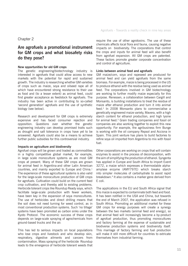# **Are agrofuels a promotional instrument for GM crops and what biosafety risks do they pose?**

#### **New opportunities for old GM crops**

The genetic engineering/biotechnology industry is interested in agrofuels that could allow access to new markets with the potential for rapid and sustained growth. The industry is researching whether GM varieties of crops such as maize, soya and oilseed rape all of which have encountered strong resistance to their use as food and (to a lesser extent) as animal feed, could find greater acceptance as feedstock for agrofuels. The industry has been active in contributing to so-called 'second generation' agrofuels and the use of synthetic biology (see below).

Research and development for GM crops is extremely expensive and has faced consumer rejection and opposition. Questions over whether the genetic engineering industry can develop promised traits such as drought and salt tolerance in crops have yet to be answered. Agrofuels could also be a means to achieve further public subsidies for this controversial industry.

#### **Impacts on agriculture and biodiversity**

Agrofuel crops will be grown and traded as commodities in a highly competitive global market, for example, in large scale monoculture systems as are most GM crops at present. Many of these GM crops are grown for animal feed in Argentina and other Latin American countries, and mainly exported to Europe and China.<sup>1</sup> The experience of these agricultural systems is also valid for the large-scale monoculture production of GM crops for agrofuels. Cultivation could build on the current feed crop cultivation, and thereby add to existing problems. Herbicide tolerant crops like Roundup Ready soya, which facilitate large-scale production with fewer workers, have been key in the expansion of soya monocultures. The use of herbicides and direct drilling means that the soil does not need turning for weed control, as in most conventional production systems. Such 'no tillage' systems have been promoted as carbon sinks under the Kyoto Protocol. The economic success of these crops depends on large-scale spraying of agrochemicals from ground-based trucks and the air.

This has led to serious impacts on local populations who lose crops and livestock and who develop skin. respiratory, digestive ailments and cancers from contamination. Mass spraying of the herbicide Roundup leads to the emergence of herbicide tolerant weeds that require the use of other agrotoxins. The use of these chemicals affects local flora and fauna, causing negative impacts on biodiversity. The corporations that control the crops and inputs for animal feed will also benefit from agrofuel expansion. All GM crops are patented. These factors promote greater corporate concentration and control of agriculture.

#### **Links between animal feed and agrofuels**

GM maize/corn, soya and rapeseed are produced for animal feed and can yield agrofuels from the same biomass. For example, maize is being processed in the US to produce ethanol with the residue being used as animal feed. The corporations involved in GM biotechnology are working to further modify maize especially for this purpose. Renessen, a collaboration between Cargill and Monsanto, is building installations to treat the residue of maize after ethanol production and turn it into animal feed.2 In 2008 Monsanto plans to commercialise a genetically engineered maize variety, Mavera, with a high starch content for ethanol production, and high lysine for animal feed.3 Grain trading companies and fossil oil companies are also working together to exploit this new opportunity. For example, the agribusiness firm Bunge is working with the oil company Repsol and Acciona in Spain. This joint venture has plans to build factories to refine soya oil imported from Argentina to mix with fossil fuel.

Other corporations are working on crops that will contain enzymes to assist in the process of decomposition, with the aim of simplifying the production of ethanol. Syngenta has applied in Europe and South Africa to import Event 3272, a maize which expresses a thermostable alphaamylase enzyme (AMY797E) which breaks starch into simpler molecules of carbohydrate to assist rapid breakdown.4 It also contains a marker gene derived from E coli.

The applications in the EU and South Africa signal that this maize is expected to contaminate both feed and food. It has been notified in the USA and China, but towards the end of March 2007, the application was refused in South Africa. Promoting an additional market for these GM crops for energy purposes will create a synergy between the two markets (animal feed and energy), so that animal feed will increasingly become a by-product of agrofuel production, thus promoting monocultures and factory farming at the expense of sustainable and biodiverse production systems and biodiversity itself. This marriage of factory farming and fuel production will make it still more difficult for countries to extricate themselves from industrial farming.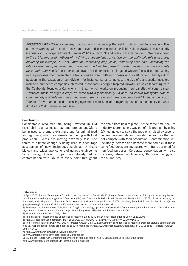Targeted Growth is a company that focuses on increasing the yield of plants used for agrofuels. It is currently working with canola, maize and soya and began conducting field trials in 2006. It has recently (February 2007) acquired patent number WO20070163195 and notes in the description: *"There is a need in the art for improved methods of modifying characteristics of certain commercially valuable [sic] crops, including for example, but not limitation, increasing crop yields, increasing seed size, increasing the rate of germination, increasing root mass, and the like. The present invention as described herein meets these and other needs."* In order to achieve these different aims, Targeted Growth focused on intervening in the processes that, "regulate the transitions between different phases of the cell cycle.'' They speak of postponing the cessation of cell division, for instance, so as to increase the size of plant seeds. Investors include a number of companies interested in non-fossil energy.<sup>6</sup> Targeted Growth is also collaborating with the Centro de Tecnologia Canavieira in Brazil which works on producing new varieties of sugar cane.7 *"However, these transgenic crops do come with a yield penalty. To date, no known transgenic crop is commercially available that has an increase in seed size or an increase in crop yield."* In September 2005 Targeted Growth announced a licensing agreement with Monsanto regarding use of its technology for what it calls the Yield Enhancement Gene.<sup>8</sup>

#### **Conclusions**

Considerable resources are being invested in GM research into all aspects of agrofuel production. GM is being used to promote existing crops for animal feed and agrofuels, which are already competing with food production. Events are moving extremely fast. The threat of climate change is being used to encourage acceptance of new techniques such as synthetic biology and wider applications of genetic engineering biotechnology. Biotech crops have already led to contamination with GMOs at every point throughout

the chain from field to plate.<sup>9</sup> At the same time, the GM industry is promising a way out of this problem by using GM technology to solve the problems raised by secondgeneration agrofuels and provide fuel sources that will not compete with food production. Contamination will inevitably increase and become more complex if these same food crops are engineered with traits designed for non-food purposes. Corporate consolidation will also increase, between agribusiness, GM biotechnology and the oil industry.

#### **References:**

3) Monsanto Annual Report 2006, p.10

5) http://v3.espacenet.com/textclam? DB=EPODOC&IDX=WO2007016319&F=0&QPN=WO2007016319

<sup>1)</sup> April 2005: Report "Argentina: A Case Study on the Impact of Genetically Engineered Soya – How producing RR soya is destroying the food security and sovereignty of Argentina." EcoNexus (UK) and Grupo de Reflexion Rural (Argentina). Benbrook Ch. (2005): Rust, resistance, run down soil, and rising costs – Problems facing soybean producers in Argentina. Ag BioTech InfoNet, Technical Paper Number 8. http://www. greenpeace.org/raw/content/belgium/nl/press/reports/rust-resistance-run-down-soi.pdf

<sup>2)</sup> Renessen – a joint venture of Monsanto and Cargill— is opening a plant to convert residue from ethanol production to animal feed: Monsanto says new maize could produce bumper crops, Bloomberg News, USA, by Jack Kaskey, 4 Oct 2006

<sup>4)</sup> Application for import and use of genetically modified Event 3272 maize under Regulation (EC) No 1829/2003

<sup>6)</sup> Red Herring Friday, February 09, 2007, Targeted Growth Gets \$22.3MCompany says genetically modified crops for biofuels could alleviate food vs. fuel challenge; others are opposed to such modification.http://www.redherring.com/Article.aspx?a=21195&hed=Targeted+Growth+ Gets+%2422

<sup>7)</sup> http://www.ctcanavieira.com.br/var2g/index.htm

<sup>8)</sup> www.targetedgrowth.com/PressReleases/Monsanto.pdf

<sup>9)</sup> GM Freeze Report: GM Contamination imports of food and feed at risk. Measures needed to reduce the threat http://www.gmfreeze.org/uploads/GM\_contamination\_final.pdf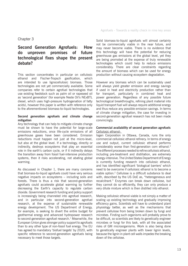#### Chapter 3

# **Second Generation Agrofuels: How do unproven promises of future technological fixes shape the present debate?**

This section concentrates in particular on cellulosic ethanol and Fischer-Tropsch gasification, which are intended to use lignocellulosic biomass. Those technologies are not yet commercially available. Some companies refer to certain agrofuel technologies that use existing feedstock such as palm oil or rapeseed oil as 'second generation' (for example Neste Oil's NExBTL diesel, which uses high-pressure hydrogenation of fatty acids), however this paper is written with reference only to the aforementioned biomass-to-liquid technologies.

#### **Second generation agrofuels and climate change mitigation**

Any technology that can help to mitigate climate change must be shown to have the potential for large-scale emissions reductions, once life-cycle emissions of all greenhouse gases have been considered. Emission reductions must happen not just at the micro-level, but also at the global level. If a technology, directly or indirectly, destroys ecosystems that play an essential role in the earth's carbon cycle, or if it indirectly delays the transition away from fossil fuel-intensive production systems, then it risks accelerating, not abating global warming.

As discussed in Chapter 1, there are many concerns that biomass-to-liquid agrofuels could have very serious negative impacts on ecosystems – including soils and forests. There is thus a risk that second-generation agrofuels could accelerate global warming by further decreasing the Earth's capacity to regulate carbon dioxide. Government research funding and policy support is increasingly being channeled into agrofuel research, and in particular into second-generation agrofuel research, at the expense of sustainable renewable energy development. The US Department of Energy, for example, is seeking to divert the entire budget for geothermal energy and advanced hydropower research to second-generation agrofuel research. $1$  Meanwhile, the European Union gives stronger policy support to agrofuels than to any other type of non-fossil fuel energy. The EU has agreed to mandatory 'biofuel targets' by 2020, with specific reference to second-generation agrofuels being necessary to meet those targets.

Solid biomass-to-liquid agrofuels will almost certainly not be commercially viable in the near future, and may never become viable. There is no evidence that this technology will have the potential for reducing greenhouse gas emissions at the global level, yet they are being promoted at the expense of truly renewable technologies which could help to reduce emissions considerably. There are clear constraints regarding the amount of biomass which can be used for energy production without causing ecosystem degradation.

However any biomass which can be sustainably used will always yield greater emission and energy savings if used in heat and electricity production rather than for transport, particularly in combined heat and power generation. Regardless of any possible future technological breakthroughs, refining plant material into liquid transport fuel will always require additional energy and thus reduce any possible emission savings. In terms of climate change mitigation, the case for investing in second-generation agrofuel research has not been made convincingly.

#### **Commercial availability of second generation agrofuels** Cellulosic ethanol:

Iogen Corporation in Ottawa, Canada, runs the only commercial cellulosic ethanol refinery. In terms of energy use and output, current cellulosic ethanol performs considerably worse than first-generation corn ethanol.<sup>2</sup> The different processes needed to refine cellulosic ethanol, including pre-treatment and distillation, are extremely energy-intensive. The United States Department of Energy is currently funding research into cellulosic ethanol, and has identified significant 'biological barriers' which need to be overcome if cellulosic ethanol is to become a viable option.2 Cellulose is a difficult substance to deal with, described by the US DoE as, "heterogeneous and recalcitrant.'' Enzymes can break down cellulose, but they cannot do so efficiently, they can only produce a very dilute mixture which is then distilled into ethanol.

Making cellulosic ethanol viable is not simply a matter of scaling up existing technology and gradually improving efficiency gains. Scientists will have to understand plant physiology better, as well as the mechanisms that prevent cellulose from being broken down by fungi and microbes. Finding such organisms will probably prove to be difficult, so scientists are likely to genetically engineer microbes or fungi for this task, with all the associated risks of GM microorganisms. Work is also being done to genetically engineer plants with lower lignin levels, because the lignin in plant cell walls impedes the breaking down of the cellulose.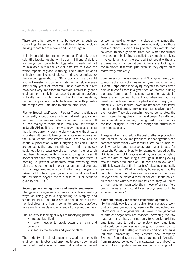There are other problems to be overcome, such as converting the sugars in hemicellulose into ethanol, or making it possible to recover and use the lignin.

It is impossible to predict when, or if at all, these scientific breakthroughs will happen. Billions of dollars are being spent on a technology which clearly will not be available within the crucial time left to avoid the worst impacts of global warming. The current situation is highly reminiscent of biotech industry promises for the second generation of GM crops such as drought and salt resistant crops, which still remain elusive even after many years of research. These biotech 'futures' have been very important to maintain interest in genetic engineering. It is likely that second generation agrofuels will suffer from similar delays but will in the meantime, be used to promote the biotech agenda, with possible future 'spin offs' unrelated to ethanol production.

Fischer-Tropsch gasification: Fischer-Tropsch gasification is currently about twice as efficient at making agrofuels from solid biomass as cellulosic ethanol processes. It is used mainly to make diesel from coal, for example in South Africa. It is a highly energy-intensive process that is not currently commercially viable without state subsidies, although following heavy state subsidies after the initial capital investment, Sasol are now able to continue production without ongoing subsidies. There are concerns that any breakthrough in this technology could lead to a greater use of coal – even if the research had been financed with a view to using biomass. It appears that the technology is the same and there is nothing to prevent companies from switching from biomass to coal, or co-firing a small amount of biomass with a large amount of coal. Furthermore, large-scale take-up of Fischer-Tropsch gasification could raise fossil fuel emissions beyond the 'business as usual' scenario given by the IPCC.3

#### **Second generation agrofuels and genetic engineering**

The genetic engineering industry is actively seeking ways of using genetic engineering to simplify and streamline industrial processes to break down cellulose, hemicellulose and lignin, so as to produce agrofuels more easily, cheaply and efficiently from plant biomass.

The industry is looking at ways of modifying plants to:

- produce less lignin
- make it easier to break down the lignin and cellulose
- speed up the growth and yield of plants

The industry is simultaneously experimenting with engineering microbes and enzymes to break down plant matter efficiently in an extreme industrial environment

as well as looking for new microbes and enzymes that could perform these tasks more effectively than those that are already known. Craig Venter, for example, has collected micro-organisms from sea water for further investigation, including so-called extremophiles living in volcanic vents on the sea bed that could withstand extreme industrial conditions. Others are looking at the microbes in termite guts because they digest plant matter very efficiently.

Companies such as Genencor and Novozymes are trying to reduce the costs of industrial enzyme production, and Diversa Corporation is studying enzymes to break down hemicellulose.4 There is a great deal of interest in using biomass from trees for second generation agrofuels. Trees are an obvious choice if and when methods are developed to break down the plant matter cheaply and effectively. Trees require lower maintenance and fewer inputs than field crops, promising a double advantage for the industry. They also contain more carbohydrates, the raw material for agrofuels, than field crops. As with field crops, genetic engineering is being used to try to reduce the level of lignin in trees and change the structure of the hemicellulose.

The general aim is to reduce the cost of ethanol production and increase the volume produced so that agrofuels can compete economically with fossil fuels without subsidies. Willow, poplar and eucalyptus are major targets for research. Purdue University, for example, funded by the US Department of Energy is working on a poplar hybrid with the aim of producing a low-lignin, faster growing tree for mass production on 'unused' and fallow land.<sup>5</sup> Little is known about the impacts of releasing genetically engineered trees. What is certain, however, is that the complex interaction of trees with ecosystems, their long life cycle and their wide dissemination of fruit and pollen, all mean that whatever the impacts are, they will be of a much greater magnitude than those of annual field crops.The risks for natural forest ecosystems could be especially serious.<sup>6</sup>

#### **Synthetic biology for second generation agrofuels**

'Synthetic biology' is the name given to a new area of work that combines genetic engineering with nanotechnology, informatics and engineering. As ever more genomes of different organisms are mapped, providing the raw material, researchers aim not only to re-design existing organisms, but to build completely new organisms that could be more precisely designed, for example, to break down plant matter, or thrive in conditions of mass industrial processing. Craig Venter's new company, Synthetic Genomics, aims to study the genetic information from microbes collected from seawater (see above) to construct a completely new micro-organism designed to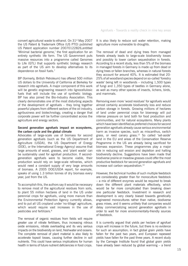convert agricultural waste to ethanol. On 31<sup>st</sup> May 2007 the US Patent & Trademark Office (US PTO) published US Patent application number 20070122826,entitled 'Minimal bacterial genome,' the first application for an entirely synthetic life form. The US Government puts massive resources into a programme called Genomes to Life (GTL) that supports synthetic biology research as part of the US aim to develop alternatives to its dependence on fossil fuels.<sup>7</sup>

BP (formerly, British Petroleum) has offered 500 million US dollars to the University of California at Berkeley for research into agrofuels. A major component of this work will be genetic engineering research into lignocellulosic fuels that will include the use of synthetic biology. BP has also joined the Bio-Industry Association. This clearly demonstrates one of the most disturbing aspects of the development of agrofuels – they bring together powerful players from different sectors of the oil industry, agribusiness and biotechnology, creating a danger that corporate power will be further concentrated across the agriculture and energy sectors.

#### **Second generation agrofuels impact on ecosystems, the carbon cycle and the global climate**

Advocates of large-scale use of biomass for second generation agrofuels (such as the US Department of Agriculture (USDA), the US Department of Energy (DOE), or the International Energy Agency) assume that large amounts of wood, grasses, and 'plant waste' can be sustainably used for agrofuel production. If secondgeneration agrofuels were to become viable, their production would rely on large-scale refineries, which would need a constant supply of very large amounts of biomass. A 2005 DOE/USDA report, for example, speaks of using 1.3 billion tonnes of dry biomass every year, just from the US.

To accomplish this, the authors say it would be necessary to remove most of the agricultural residues from soils, to plant 55 million hectares of land in the US under perennial crops for agrofuels, using more manure than the Environmental Protection Agency currently allows, and to put all US cropland under 'no-tillage' agriculture, which would require vast increases in the use of pesticides and fertilizers.8

The removal of organic residues from fields will require greater use of nitrate fertilisers, thus increasing nitrous oxide emissions, nitrate overloading and its very serious impacts on the biodiversity on land, freshwater and oceans. The complete removal of plant material is also likely to accelerate topsoil losses, causing further decline in soil nutrients. This could have serious implications for human health in terms of future nutrient deficiencies in food crops.

It is also likely to reduce soil water retention, making agriculture more vulnerable to droughts.

The removal of dead and dying trees from managed forests already leads to large-scale biodiversity losses and possibly to lower carbon sequestration in forests. According to a recent study, less than 5% of the biomass in managed forests in Germany is made up from dead or dying trees or fallen branches, whereas in natural forests they account for around 40%. It is estimated that 20- 25% of all woodland species depend on so-called 'forestry waste' being left in woodlands – including 1,500 types of fungi and 1,350 types of beetles in Germany alone, as well as many other species of insects, lichens, birds, and mammals.

Removing even more 'wood residues' for agrofuels would almost certainly accelerate biodiversity loss and reduce carbon storage in forests. Growing millions of hectares of land under perennial crops for bioenergy will put intense pressure on land both for food production and communities, and for natural ecosystems. Many plants which have been identified as preferred choices for second generation agrofuels already cause serious environmental harm as invasive species, such as miscanthus, switch grass, or reed canary grass.12 So called 'set-aside' land in the EU and areas of the Conservation Reserve Programme in the US are already being sacrificed for biomass expansion. These programmes play a major role in reducing soil erosion and depletion and halting biodiversity decline. Suggestions have been made that biodiverse prairie or meadow grasses could offer the most productive feedstock for second generation agrofuels and increase soil carbon sequestration.<sup>10</sup>

However, the technical hurdles of such multiple feedstock are considerably greater than for monoculture feedstock – a mix of different enzymes would be required to break down the different plant materials effectively, which would be far more complicated than breaking down one particular feedstock. Investment in research and development is very clearly biased towards genetically engineered monocultures rather than native, biodiverse grass mixes, and it seems unlikely that companies would delay commercializing second generation agrofuels in order to wait for more environmentally-friendly sources of feedstock.

It is currently argued that yields per hectare of agrofuel crops will increase in the future, but there is no evidence for such an assumption; in fact global grain yields have fallen for the past two years, and European rapeseed yields have fallen for the past three years. A recent study by the Carnegie Institute found that global grain yields have already been reduced by global warming – a trend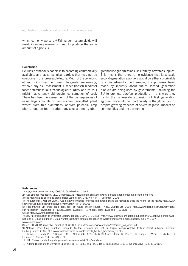which can only worsen.  $11$  Falling per-hectare yields will result in more pressure on land to produce the same amount of agrofuels.

#### **Conclusion**

Cellulosic ethanol is not close to becoming commercially available, and faces technical barriers that may not be overcome in the foreseeable future. Much of the cellulosic ethanol R&D investment goes into genetic engineering, without any risk assessment. Fischer-Tropsch biodiesel faces different serious technological hurdles, and its R&D might inadvertently aid greater consumption of coal. There has been no assessment of the consequences of using large amounts of biomass from so-called 'plant waste', from tree plantations, or from perennial crop plantations on food production, ecosystems, global

greenhouse gas emissions, soil fertility, or water supplies. This means that there is no evidence that large-scale second-generation agrofuels would be either sustainable or climate-friendly. Furthermore, the promises being made by industry about future second generation biofuels are being used by governments, including the EU to promote agrofuel production. In this way, they justify the large-scale expansion of first generation agrofuel monocultures, particularly in the global South, despite growing evidence of severe negative impacts on communities and the environment.

#### **References**:

1) http://www.csmonitor.com/2006/0915/p02s01-uspo.html

2) Fuel Ethanol Production, DEO, Genomics:GTL, http://genomicsgtl.energy.gov/biofuels/ethanolproduction.shtml#improve

3) see Making it up as you go along, Heidi Ledford, NATURE, Vol 444, 7 December 2006

4) The Economist: Mar 8th 2007, 'Could new techniques for producing ethanol make old-fashioned trees the nopfie; of the future?'http://www. economist.com/science/tq/displayStory.cfm?story\_id=8766061

5) Fast-growing GM trees could take root as future energy source, Friday, August 25 2006 http://www.checkbiotech.org/root/index. cfm?fuseaction=news&doc\_id=13382&start=1&control=177&page\_start=1&page\_nr=101&pg=1 6) see http://www.stopgetrees.org/

7) see: An Introduction to Synthetic Biology, January 2007, ETC Group, http://www.etcgroup.org/upload/publication/602/01/synbioreportweb. pdf; and ETC backgrounder: J Craig Venter Institute's patent application on world's first human-made species, June 7<sup>th</sup> 2007 www.etcgroup.org

8) see: DOE/USDA report by Perlack et al. (2005), http://feedstockreview.ornl.gov/pdf/billion\_ton\_vision.pdf

9) "Totholz - Bedeutung, Situation, Dynamik", Steffen Herrmann und Prof. Dr. Jürgen Bauhus Waldbau-Institut, Albert Ludwigs Universität Freiburg, March 2007, http://www.waldundklima.net/wald/totholz\_bauhus\_herrmann\_01.php

10) Tilman, D., Reich, P. B. & Knops, J. M. H. Nature 441, 629–632 (2006); and Tilman, D., Reich, P. B., Knops, J., Wedin, D., Mielke, T. & Lehman, C. Science 294, 843–845 (2001)

11) http://www.planetark.org/dailynewsstory.cfm/newsid/40916/story.htm

12) Adding Biofuels to the Invasive Species, Fire, S. Rathu, et a., DOI: 10.1126/science.1129313,Science 313, 1742 (2006)CC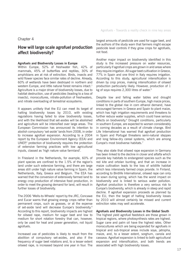#### Chapter 4

# **How will large scale agrofuel production affect biodiversity?**

#### **Agrofuels and Biodiversity Losses in Europe**

Within Europe, 52% of freshwater fish, 42% of mammals, 45% of butterflies and reptiles, 30% of amphibians are at risk of extinction. Birds, insects and wild flower species face similar rates of decline. Already, 60% of wetlands have been destroyed in northern and western Europe, and little natural forest remains intact.<sup>1</sup> Agriculture is a major driver of biodiversity losses, due to habitat destruction, use of pesticides (leading to a loss of insects), monocultures, nitrate-pollution of freshwaters, and nitrate overloading of terrestrial ecosystems.

It appears unlikely that the EU can meet its target of halting biodiversity losses by 2010, with existing regulations having failed to slow biodiversity losses, and with the likelihood that set-asides will be abolished and agriculture will be intensified over large areas. The European Commission has announced its intention to abolish compulsory 'set-aside' lands from 2008, in order to increase agrofuel expansion. According to a 2004 report by the European Environment Agency (EEA) and UNEP,2 protection of biodiversity requires the protection of extensive farming practices with low agricultural inputs, classed as 'high nature value farmland'.

In Friesland in the Netherlands, for example, 60% of plant species are confined to the 1.5% of the region's land under such extensive farming, and there are large areas still under high nature value farming in Spain, the Netherlands, Italy, Greece and Belgium. The EEA has warned that the conversion of extensively farmed land to energy crop production of intensive food production, in order to meet the growing demand for land, will result in further losses of biodiversity.

The 2006 'Wells-to-Wheels' report by the JRC, Concawe and Eucar warns that growing energy crops rather than permanent crops, such as grasses, or at the expense of set-aside land will decrease Europe's biodiversity.4 According to this report, biodiversity impacts are highest for oilseed rape, medium for sugar beet and low to medium for short rotation forestry that can, however, only be used for heat and power generation, not liquid agrofuels.

Increased use of pesticides is likely to result from the abolition of compulsory set-asides, and also if the frequency of sugar beet rotations and, to a lesser extent oilseed rape, is increased beyond one year in four. The largest amounts of pesticide are used for sugar beet, and the authors of the study warn that farmers might escape pesticide level controls if they grow crops for agrofuels, not food.

Another major impact on biodiversity identified in this study is the increased pressure on water resources, particularly if agrofuel crops are grown in arid areas where they require irrigation. All sugar beet cultivation in Greece, 77% in Spain and one third in Italy requires irrigation. According to this study, agricultural intensification is driven by crop prices, making intensification of oilseed production particularly likely. However, production of 1 kg of soya requires 2,300 litres of water.<sup>5</sup>

Despite low and falling water tables and drought conditions in parts of southern Europe, high maize prices, linked to the global rise in corn ethanol demand, have encouraged farmers in Greece and Spain to plant maize, which has high irrigation requirements and threatens to further reduce water supplies, which could have serious effects on biodiversity.<sup>6</sup> Drought conditions, particularly in southern Europe, are expected to worsen considerably in coming decades as a result of climate change. Bird Life International has warned that agrofuel production in Spain and Portugal threatens semi-natural steppes and long fallow-dry cereal systems, which are among Europe's most biodiverse habitats.7

They also state that oilseed rape expansion in Germany has been linked to the decline in clover and alfalfa which provide key habitats to endangered species such as the red kite and ortolan bunting, and that an increase in maize cultivation leads to the loss of wildlife habitat which less intensively farmed crops provide. In Finland, according to Birdlife International, oilseed rape can only be sown during spring, which has the worst impact on biodiversity and is linked to serious water pollution. Agrofuel production is therefore a very serious risk to Europe's biodiversity, which is already in steep and rapid decline. If agrofuel expansion proceeds as planned by the EU, then the target of halting biodiversity losses by 2010 will almost certainly be missed and current extinction rates may well accelerate.

#### **Agrofuels and Biodiversity Losses in the Global South**

The highest yield agrofuel feedstock are those grown in tropical regions, where photosynthesis rates are highest. Sugar cane and palm oil have the highest rates. Other monocultures which are being expanded for agrofuels in tropical and sub-tropical areas include soya, jatropha, maize, and, to a lesser extent, sorghum, canola and cassava. Agrofuel expansion is linked to both agricultural expansion and intensification, and both trends are associated with high biodiversity losses.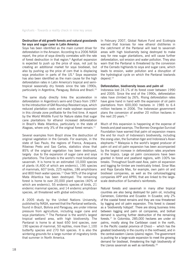#### **Destruction of old growth forests and natural grasslands for soya and sugar cane in Latin America**

Soya has been identified as the main current driver for deforestation in the Amazon. According to a 2006 NASA report, the price of soya directly correlates with the rate of forest destruction in that region.<sup>8</sup> Agrofuel expansion is expected to push up the price of soya, not just by creating an additional market for soya biodiesel, but also by pushing up the price of corn that is displacing soya production in parts of the US.<sup>9</sup> Soya expansion has also been identified as the main cause for the high deforestation rates in Latin America's tropical and semitropical seasonally dry forests since the late 1990s, particularly in Argentina, Paraguay, Bolivia and Brazil.<sup>10</sup>

The same study directly links the acceleration in deforestation in Argentina's semi-arid Chaco from 1997 to the introduction of GM Roundup Resistant soya, which reduced plantation costs and made soybean expansion in this climate zone profitable for the first time. A report by the World Wildlife Fund for Nature states that sugar cane plantations for ethanol increased deforestation in Brazil's Mata Atlantica, particularly in the state of Alagoas, where only 3% of the original forest remain. $11$ 

Several examples from Brazil show the destruction of original vegetation in the Cerrado. For example, in the state of Sao Paulo, the regions of Franca, Araquara, Ribeirao Preto and Sao Carlos, statistics show that 85% of the original vegetation has been destroyed, largely due to the expansion of sugar cane and soya plantations. The Cerrado is the world's most biodiverse savannah. It is home to an estimated 10,000 species of plants (4,400 of which are endemic), 195 species of mammals, 607 birds, 225 reptiles, 186 amphibians and 800 fresh water species.<sup>12</sup> Over 90% of the original Mata Atlantica has been destroyed. The remaining forest is home to over 20,000 plant species (40% of which are endemic), 55 endemic species of birds, 21 endemic mammal species, and 14 endemic amphibian species, all threatened with global extinction.

A 2005 study by the United Nations University, published by NASA, warned that the Pantanal wetlands, found in Brazil, Bolivia and Paraguay, are under intense pressure from agriculture, including sugar cane and soya plantations.<sup>13</sup> The Pantanal is the world's largest tropical wetland area, with high biodiversity. The Pantanal is home to at least 650 bird species, over 190 species of mammal, 50 reptiles, more than 1,100 butterfly species and 270 fish species. It is also the wintering grounds for a large number of migratory birds that summer in North America.

In February 2007, Global Nature Fund and Ecotropia warned that licenses for new ethanol distilleries in the catchment of the Pantanal will lead to savannah areas with high biodiversity being destroyed to make way for new sugar plantations, and will cause further deforestation, soil erosion and water pollution. They also warn that the Pantanal is threatened by the conversion of the Cerrado highlands to soya and sugar cane, which leads to erosion, water pollution and a disruption of the hydrological cycle on which the Pantanal lowlands depend.14

#### **Deforestation, biodiversity losses and palm oil**

Indonesia lost 24.1% of its forest cover between 1990 and 2005. Since the end of the 1990s, deforestation rates have climbed by 26%. Rising deforestation rates have gone hand in hand with the expansion of oil palm plantations from 600,000 hectares in 1985 to 6.4 million hectares in 2006. The Indonesian government plans the conversion of another 20 million hectares in the next 20 years.<sup>15</sup>

Much of this expansion is happening at the expense of forests and peat swamps. The Borneo-Orangutan Survival Foundation have warned that palm oil expansion means the end for much of Indonesia's biodiversity, including the orang-utan, the Sumatran tiger and Indonesia's Asian elephants.16 Malaysia is the world's largest producer of palm oil and oil palm expansion has been accompanied by the largest increase in deforestation rates anywhere in the tropics. Large oil palm concessions have been granted in forest and peatland regions, with 100% tax breaks. Throughout South-east Asia, palm oil expansion and logging for timber are inextricably linked. Sinar Mas and Raja Garuda Mas, for example, own palm oil and biodiesel companies, as well as the cellulose/logging companies APP and APRIL that are linked to the largescale destruction of Sumatra's rainforests.

Natural forests and savannah in many other tropical countries are also being destroyed for palm oil, including Cameroon, Colombia and Ecuador. In Ecuador, only 2% of the coastal forest remains and they are now threatened by logging and oil palm expansion. This forest is classed as a 'biodiversity hotspot'. There are strong business links between logging and palm oil companies, and biofuel demand is spurring further destruction of the remaining forests.17 In Colombia, 285,000 hectares are under oil palms, mostly along the Caribbean coast in the north, in the Pacific coastal province of Chocó – which has the greatest biodiversity in the country in the northwest, and in the central-eastern Llanos (plains) region. The government is pushing for a large-scale expansion to meet the growing demand for biodiesel, threatening the high biodiversity of the Llanos savannah as well as rainforests.<sup>18</sup>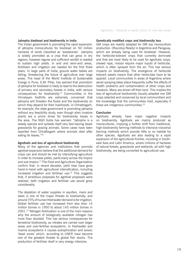#### **Jatropha biodiesel and biodiversity in India**

The Indian government is promoting the rapid expansion of jatropha monocultures for biodiesel on 50 million hectares of lands classified as 'wastelands'. Jatropha is widely promoted as a crop that can grow in dry regions, however regular and sufficient rainfall is needed to sustain high yields. In arid and semi-arid areas, fertilisers and irrigation are needed for the first three years. In large parts of India, ground water tables are falling, threatening the future of agriculture over large areas. The head of the World Institute of Sustainable Energy in Pune, G.M. Pillai, has warned that promotion of jatropha for biodiesel is likely to lead to the destruction of primary and secondary forests in India, with serious consequences for biodiversity.19 Communities in the Himalayan foothills are extremely concerned that jatropha will threaten the forest and the biodiversity on which they depend for their livelihoods. In Chhattisgarh, for example, the state government is promoting jatropha without any feasibility study, even though alien invasive plants are a prime driver for biodiversity losses in the area. The NGO Sutra has warned: "Jatropha is a weedy species and spreads itself very fast leaving lesser grasslands for grazing animals. Some cases have been reported from Chhattisgarh where animals died after eating its leaves."20

#### **Agrofuels and loss of agricultural biodiversity**

Many of the agencies and institutions that promote agrofuel expansion believe that the additional demand for crops can and should be met by intensifying agriculture in order to increase yields, particularly across the tropics and sub-tropics.21 The Food and Agriculture Organisation confirm that, in recent decades, yield rises have gone hand-in-hand with agricultural intensification, including increased irrigation and fertiliser use.<sup>22</sup> This suggests that, if ambitious proposals for agrofuel proposals were realized, both irrigation and fertiliser use would grow considerably.

The depletion of water supplies in aquifers, rivers and lakes is one of the major threats to biodiversity, and around 70% of human freshwater demand is for irrigation. Global fertiliser use has increased from less than 14 million tonnes in 1950 to about 145 million tonnes in 2001.23 Nitrogen fertilization is one of the main reasons why the amount of biologically available nitrogen has more than doubled. This has serious consequences for terrestrial biodiversity, as nitrates are carried over larger areas and over-fertilise ecosystems. In freshwater and marine ecosystems it causes eutrophication and anoxic 'dead zones' which, according to UNEP, have become one of the greatest threats to global fish stocks. The production of fertiliser itself is very energy intensive.

#### **Genetically modified crops and biodiversity loss**

GM crops are readily adapted for GM soy monoculture production (Roundup Ready) in Argentina and Paraguay, which are already being used for biodiesel. However, the herbicide-tolerant crops that currently dominate and that are most likely to be used for agrofuels (soya, oilseed rape, maize) require major inputs of herbicide, which is often sprayed from the air. This has serious impacts on biodiversity. The emergence of herbicide tolerant weeds means that other herbicides have to be applied. Local communities in areas of Argentina where aerial spraying takes place frequently suffer the effects of health problems and contamination of other crops and livestock. Many are driven off their land. This implies the loss of agricultural biodiversity (locally adapted non GM crops selected and conserved by local communities) and the knowledge that the communities hold, especially if these are indigenous communities.<sup>24</sup>

#### **Conclusion**

Agrofuels already have major negative impacts on biodiversity. Agrofuels are mainly produced as monocultures, implying a further shift from traditional, high-biodiversity farming methods to intensive industrial farming methods which provide little or no habitat for other species. Agrofuels are also leading to a rapid expansion of the agricultural frontier, including in Southeast Asia and Latin America, where millions of hectares of natural forests, grasslands and wetlands, all with high biodiversity, are being converted to agricultural use.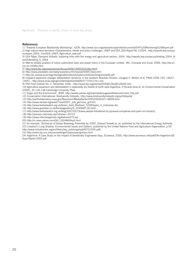#### **References:**

1) "Towards European Biodiversity Monitoring", IUCN, http://www.iucn.org/places/europe/rofe/documents/EHF%20Monitoring%20Report.pdf 2) High nature value farmland: Characteristics, trends and policy challenges, UNEP and EEA, EEA Report No 1/2004., http://reports.eea.europa. eu/report\_2004\_1/en/EEA\_UNEP\_Agriculture\_web.pdf

3) EEA Paper, Transport biofuels: exploring links with the energy and agriculture sectors, 2004, http://reports.eea.europa.eu/briefing\_2004\_4/ en/EEAbriefing\_4\_2004

4) Well-to-wheels analysis of future automotive fuels and power trains in the European context, JRC, Concawe and Eucar, 2006, http://ies.jrc. cec.eu.int/wtw.html

5) http://www.fao.org/newsroom/en/focus/2006/1000252/index.html)

6) http://www.planetark.com/dailynewsstory.cfm/newsid/40847/story.htm

7) http://ec.europa.eu/energy/res/legislation/doc/biofuels/contributions/ngos/birdlife.pdf

8) Cropland expansion changes deforestation dynamics in the southern Brazilian Amazon, Douglas C. Morton et al, PNAS 2006 103: 14637- 14641 , http://www.pnas.org/cgi/content/abstract/0606377103v1?ck=nck

9) FAO Food Outlook No. 2, December 2006 ; http://www.fao.org/docrep/009/j8126e/j8126e00.htm

10) Agriculture expansion and deforestation in seasonally dry forests of north-west Argentina, H Ricardo Grau et. al; Environmental Conservation (2005), 32:140-148 Cambridge University Press

11) Sugar and the Environment', WWF, http://assets.panda.org/downloads/sugarandtheenvironment\_fidq.pdf

12) Conservation International: Biodiversity Hotspots, http://www.biodiversityhotspots.org/xp/Hotspots/

13) http://earthobservatory.nasa.gov/Newsroom/MediaAlerts/2005/2005032118609.html

14) http://www.ramsar.org/wwd/7/wwd2007\_rpts\_germany\_gnf.htm

15) http://www.biofuelwatch.org.uk/Green\_Gold\_Biodiesel\_%20Players\_in\_Indonesia.doc

16) http://www.guardian.co.uk/frontpage/story/0,,2049687,00.html

17) http://www.biofuelwatch.org.uk/blog/2007/02/19/awa-people-threatened-by-plywood-companies-and-palm-oil-industry/

18) http://ipsnews.net/news.asp?idnews=35722

19) http://www.infochangeindia.org/features370.jsp

20) http://in.news.yahoo.com/061130/48/69vy6.html

21) for example, 'Quickscan of Global Bioenergy Potentials by 2050', Edward Smeets et. al, published by the International Energy Authority 22) Livestock's Long Shadow: Environmental Issues and Options, published by the United Nations Food and Agriculture Organisation, p.50

http://www.virtualcentre.org/en/library/key\_pub/longshad/A0701E00.pdf]

23) http://www.ias.unu.edu/proceedings/icibs/ecosan/gumbo.html

24) Argentina: A Case Study on the Impact of Genetically Engineered Soya, Econexus, 2005, http://www.econexus.info/pdf/ENx-Argentina-GE-Soya-Report-2005.pdf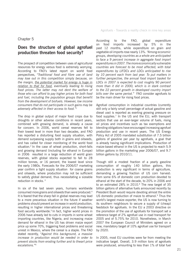#### Chapter 5

# **Does the structure of global agrofuel production threaten food security?**

The prospect of competition between uses of agricultural resources for energy versus food is extremely worrying. According to FAO's latest report on world food perspectives, "*Traditional food and fibre use of land may lose out in this competition simply because, on the margin, the potential market for energy is huge in relation to that for food, eventually leading to rising food prices. The latter may not dent the welfare of those who can afford to pay higher prices for both food and fuel, including the population groups that benefit from the development of biofuels. However, low income consumers that do not participate in such gains may be adversely affected in their access to food."*<sup>1</sup>

The drop in global output of major food crops due to droughts or other adverse conditions in recent years, combined with growing demand, is already a cause for concern. In 2006, world cereal reserves fell to their lowest level in more than two decades, and FAO has reported a disturbing food supply situation, with demand surpassing supply both in grains and oilseeds, and has called for closer monitoring of the world food situation.<sup>2</sup> In the case of wheat production, short-falls and growing demand (including for ethanol in Europe) in 2006 resulted in a large reduction of world grain reserves, with global stocks expected to fall to 28 million tonnes, or 16 percent, the lowest level since the early 1980s. Forecasts for the 2006/07 marketing year confirm a tight supply situation for coarse grains and oilseeds, where production may not be sufficient to satisfy global demand, thus necessitating a sizeable reduction in stocks. 3

In six of the last seven years, humans worldwide consumed more grains and oilseeds than were produced.4 It is feared that the sharp fall in global reserves may lead to a more precarious situation in the future if weather problems should prevent an increase in world production, resulting in higher international prices and threatening food security worldwide.<sup>5</sup> In fact, higher world prices in 2006 have already led to cuts in imports in some wheat importing countries, like Nigeria, and increasing maize demand for ethanol in the US has driven maize export price up some 70%, triggering food problems and social unrest in Mexico, where the cereal is a staple. The FAO stated recently, "*Against this background, a massive increase in production would be needed in order to prevent stocks from eroding further and to thwart price escalations.*"6

Agrofuels - Towards a reality check in nine key areas

According to the FAO, global expenditure on food imports increased by 5% in the past 12 months, while expenditure on grain and vegetable oil imports rose nearly 13%. *"Among economic groups, developing countries as a whole are anticipated to face a 9 percent increase in aggregate food import expenditures in 2007. The more economically vulnerable countries are forecast to be most affected, with total expenditures by LIFDCs and LDCs anticipated to rise by 10 percent each from last year. To put matters in further perspective, the annual food import basket for LDCs in 2007 is expected to cost roughly 90 percent more than it did in 2000, which is in stark contrast to the 22 percent growth in developed country import bills over the same period."* FAO consider agrofuels to be the main driver for rising food prices.

Agrofuel consumption in industrial countries (currently still only a fairly small percentage of actual gasoline and diesel use) is reported as exerting growing pressure on food supplies.7 In the US and the EU, with transport sectors that use an ever-larger volume of fuels, rising oil prices and incentives such as tax exemptions and blending obligations have encouraged increasing agrofuel production and use in recent years. The US Energy Policy Act of 2005 mandated substitution of 7.5 billion gallons of gasoline per year by agrofuels, a goal that is already having significant implications. Production of maize-based ethanol in the US is projected to reach 5.9 billion gallons in the marketing year 2006/07, and 9.7 billion gallons by 2010/11.

Though still a modest fraction of a yearly gasoline consumption of roughly 140 billion gallons, this production is very significant in terms of agriculture, demanding a growing fraction of US corn harvest: from some 6% of domestic corn production devoted to ethanol at the start of the decade, to 20% in 2006 and to an estimated 28% in 2010.<sup>8</sup> The new target of 35 billion gallons of alternative fuels announced recently by President Bush would require devoting almost the entire US domestic production of maize to ethanol.<sup>9</sup> Thus the world's largest maize exporter, the US is now turning to its southern neighbours to secure a supply of (cheap) feedstock for agrofuels. In the EU a 2003 directive on the promotion of the use of agrofuels for transport set a reference target of 2% agrofuel use in road transport for 2005 and of 5.75% for 2010. Nonetheless, in March 2007 the European Council of Ministers agreed on a new, mandatory target of 10% agrofuel use for transport by 2020.

In 2005, most EU countries were far from meeting the indicative target. Overall, 3.9 million tons of agrofuels were produced, amounting to less than 1% of total fuel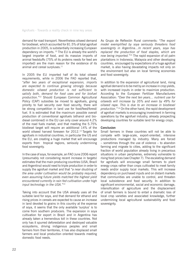demand for road transport. Nevertheless oilseed demand for biodiesel, which accounted for 81.5% of total agrofuel production in 2005, is substantially increasing European dependency on imports. 10 The EU is already the world's largest importer of food, and its massive imports of animal feedstuffs (75% of its proteins needs for feed are imported) are the main reason for the existence of its animal and cereal surpluses.<sup>11</sup>

In 2005 the EU imported half of its total oilseed requirements, while in 2006 the FAO reported that, "*after two years of exceptional expansion, imports are expected to continue growing strongly because domestic oilseed production is not sufficient to satisfy both, demand for food uses and for biofuel production."*12 Should European Common Agricultural Policy (CAP) subsidies be moved to agrofuels, giving priority to fuel security over food security, there will be strong competition in land use for food/feed/forest/ fuel. It is estimated that the maximum possible overall production of conventional agrofuels (ethanol and biodiesel combined) in the EU can only cover around 4.2% of the road fuels market, and that meeting the 5.75% biodiesel target will require an additional 14% of the world oilseed harvest foreseen for 2012.<sup>13</sup> Targets for agrofuels in industrial countries, in particular the US and the EU, are creating a huge market that will encourage exports from tropical regions, seriously undermining food sovereignty.

In the case of soya, for example, an FAO June 2006 report (presumably not considering recent increase in targets) estimates that the main producing countries (USA, Brazil and Argentina) would need to triple production in order to supply the agrofuel market and that "*a near doubling of the area under cultivation would be probably required, even assuming future yields matched the highest yield encountered currently in rain fed cultivation under high input technology in the USA."*<sup>14</sup>

Taking into account that the USA already uses all the suitable land for soya, and that demand for ethanol and rising prices in cereals are expected to cause an increase in land devoted to grains in this country at the expense of soya, it seems that the only available 'surplus' is to come from southern producers. The expansion in soya cultivation for export in Brazil and in Argentina has already taken a tremendous toll in these countries. Not only has it spurred deforestation and destroyed valuable ecosystems, driving indigenous peoples and small farmers from their territories, it has also displaced small farmers and local production oriented towards meeting domestic food needs.

As Grupo de Reflexión Rural comments: "*The export model exemplified by soya seriously threatens food sovereignty in Argentina…In recent years, soya has replaced the production of food staples, which are now being imported."*15 The rapid expansion of oil palm plantations in Indonesia, Malaysia and other developing countries, encouraged by expectations of a huge agrofuel market, is also having devastating impacts not only on the environment but also on local farming economies and food sovereignty.

In addition to the expansion of agricultural land, rising agrofuel demand is to be met by an increase in crop yields, with increased inputs in order to maximize production. According to the European Fertilizer Manufacturers Association: *"Over the next ten years… nutrient use for oilseeds will increase by 35% and even by 49% for oilseed rape. This is due to an increase in biodiesel production."* 16 On the other hand, the rapid development of agrofuel markets is encouraging investment in farming operations by the agrofuel industry, already prospecting developing countries for suitable land for energy crops.

#### **Conclusion**

Small farmers in these countries will not be able to compete with large-scale, export-oriented, intensive productions managed by industry. Many are forced – sometimes through the use of violence – to abandon farming and migrate to cities, adding to the significant fraction of world population already living in precarious situations in urban peripheries, extremely vulnerable to rising food prices (see Chapter 7). The escalating demand for agrofuels will encourage small farmers to plant energy crops rather than crops cultivated to meet family needs and/or supply local markets. This will increase dependency on purchased inputs and on distant markets that communities are unable to control, and threaten local subsistence and food security. In addition to significant environmental, social and economic damage, intensification of agriculture and the displacement of small farmers is bound to entail a dramatic loss of local crop varieties and associated knowledge, further undermining local agricultural sustainability and food sovereignty.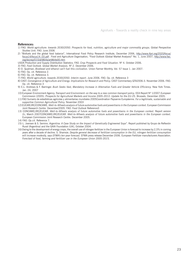#### **References:**

- 1) FAO. *World agriculture: towards 2030/2050. Prospects for food, nutrition, agriculture and major commodity groups.* Global Perspective Studies Unit. FAO. June 2006
- 2) "Biofuels and the global food balance", International Food Policy Research Institute, December 2006, http://www.ifpri.org/2020/focus/ focus14/focus14\_03.pdf . Food and Agriculture Organisation, "Food Outlook (Global Market Analysis)" No. 1, June 2007, http://www.fao. org/docrep/010/ah864e/ah864e00.htm
- USDA Production and Supply Distribution Statistics. FAO. *Crop Prospects and Food Situation.* Nº 4. October 2006.
- 3) FAO. *Food Outlook. Global Market Analysis.* Nº 2. December 2006.
- 4) D. Qualman, *Biodiesel and ethanol can't fuel this civilization.* Union Farmer Monthly. Vol. 57 Issue 1. Jan 2007.
- 5) FAO. Op. cit. Reference 2.
- 6) FAO. Op. cit. Reference 3.
- 7) FAO. *World agriculture: towards 2030/2050. Interim report.* June 2006. FAO. Op. cit. Reference 3
- 8) CAST. *Convergence of Agriculture and Energy: Implications for Research and Policy.* CAST Commentary QTA2006-3. November 2006. FAO. Op. cit. Reference 3
- 9) E.L. Andrews & F. Barringer. *Bush Seeks Vast. Mandatory Increase in Alternative Fuels and Greater Vehicle Efficiency.* New York Times. Jan. 24, 2007
- 10) European Environment Agency. *Transport and Environment: on the way to a new common transport policy.* EEA Report N° 1/2007. European Commission (2005). *Prospects for Agricultural Markets and Income 2005-2012: Update for the EU-25.* Brussels. December 2005.
- 11) FAO Sumario de estadísticas agrícolas y alimentarias mundiales 2005Coordination Paysanne Européenne. *For a legitimate, sustainable and supportive Common Agricultural Policy.* November 2003
- 12)EUCAR/JRC/CONCAWE. *Well-to-Wheels analysis of future automotive fuels and powertrains in the European context.* European Commission Joint Research Centre. December/2005. FAO. *Food Outlook* Reference3
- 13) CONCAWE/JRC/EUCAR. *Well-to-Wheels analysis of future automotive fuels and powertrains in the European context.* Report version 2c, March 2007CONCAWE/JRC/EUCAR. *Well-to-Wheels analysis of future automotive fuels and powertrains in the European context.*  European Commission Joint Research Centre. December 2005.
- 14) FAO. *Op.cit.* Reference 7.
- 15) L. Joensen & S. Semino. *Argentina: A Case Study on the Impact of Genetically Engineered Soya".* Report published by Grupo de Reflexión Rural (Argentina) and the GAIA Foundation (UK), October 2004.
- 16)Owing to the development of energy crops, the overall use of nitrogen fertilizer in the European Union is forecast to increase by 2,5% in coming years after a decade of decline. S. Shamsie. *Despite general decrease of fertilizer consumption in the EU, nitrogen fertilizer consumption will increase modestly, says EFMA's ten-year forecast.* EFMA press release December 2006. European Fertilizer manufacturers Association. *Forectast of food, farming and fertilizer use in the European Union 2005-2015.*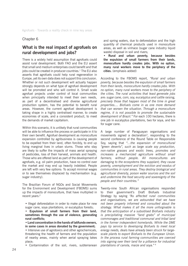#### Chapter 6

# **What is the real impact of agrofuels on rural development and jobs?**

There is a widely held assumption that agrofuels could assist rural development. Both FAO and the EU assert that small and medium enterprises could benefit and that jobs could be created in producer countries. $<sup>1</sup>$  The EU also</sup> asserts that agrofuels could help rural regeneration in Europe, yet its own data does not support this conclusion. Whether or not such development will actually happen strongly depends on what type of agrofuel development will be promoted and who will control it. Small scale agrofuel projects under control of local communities when principally intended to meet their own needs, as part of a decentralised and diverse agricultural production system, has the potential to benefit rural areas. However, the current agrofuel development is taking shape in a highly centralised manner, to create economies of scale, and a consistent product, to meet the demands of market capitalism.

Within this scenario, it is unlikely that rural communities will be able to influence the process or participate in it to their own benefit. Agrofuel development as monoculture expansion controlled by agribusiness is causing people to be expelled from their land, often forcibly, to end up living marginal lives in urban slums. Those who stay are likely to suffer the impacts of mass aerial spraying of pesticides, loss of their harvest, animals and health. Those who are offered land as part of the development of agrofuels, e.g. oil palm production, have no control over the market and may end up heavily indebted. People are left with very few options: To accept minimal wages or to see themselves displaced by mechanisation (e.g. sugar industry).

The Brazilian Forum of NGOs and Social Movements for the Environment and Development (FBOMS) sums up the impacts of monoculture, that have multiplied in recent years:2

• Illegal deforestation in order to make place for new sugar cane, soya plantations, or eucalyptus forests;

**• Expulsion of small farmers from their land, sometimes through the use of violence, generating rural conflicts;**

**• Land concentration in the hands of latifundo owners, in some cases in areas donated by the government;**

• Intensive use of agrotoxics and other agrochemicals, threatening the health of farmers and the population of nearby areas, mainly when aerial spraying takes place;

**•** Contamination of the soil, rivers, subterranean

and spring waters, due to deforestation and the high quantity of chemical products used in monoculture areas, as well as vinhace (sugar cane industry liquid waste) disposal in soil and rivers;

**• Rural and urban poverty, because besides the expulsion of small farmers from their lands, monoculture hardly creates jobs. With no option, many rural workers move to the periphery of the cities.** (emphasis added)

According to the FBOMS report, *"Rural and urban poverty, because besides the expulsion of small farmers from their lands, monoculture hardly creates jobs. With no option, many rural workers move to the periphery of the cities. The rural activities that least generate jobs are: sugar cane, corn, soy, eucalyptus and cattle raising, precisely those that happen most of the time in great properties.... Biofuels come in as one more demand that can worsen the situation. Through a monoculture regime, it is not possible to promote the sustainable development of Brazil."* For each 100 hectares, there is one job in eucalyptus plantations, two for soya, and ten for sugar cane.

A large number of Paraguayan organisations and movements signed a declaration<sup>3</sup>, responding to the second conference of the Round Table on Responsible Soy, saying that *"…the expansion of monocultural "green deserts", such as large scale soy production, non-native grasses and exotic trees, promotes and increases a mechanized agriculture without small farmers; without people. All monocultures are damaging to the ecosystems they supplant; they cause poverty, unemployment and the eviction and exodus of communities in rural areas. They destroy biological and agricultural diversity, poison water sources and the soil and undermine the food security and sovereignty of the people and their countries."*

Twenty-nine South African organisations responded to their government's Draft Biofuels Industrial Strategy by saying *"As affected rural communities and organisations, we are astounded that we have not been properly informed and consulted about the strategy. What makes it all the more unforgivable is that the anticipation of a subsidised Biofuels industry is precipitating massive "land grabs" of municipal commonages and traditional communal and tribal land in the former independent homelands. While the DME pays lip service to developing Biofuels to meet local energy needs, deals have already been struck for largescale plants to export Biofuels to the European Union. In the process rural farming communities are coerced into signing over their land for a pittance for industrial plantations of canola, maize and soya*." 4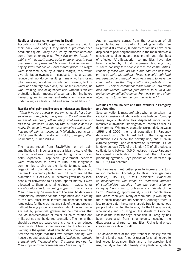#### **Realities of sugar cane workers in Brazil**

According to FBOMS, sugar cane cutters are paid for their daily work only if they meet a pre-established production quota. Many are hired by intermediaries and come from other regions. *"They live on the farms, in cabins with no mattresses, water or stove, cook in cans over small campfires and buy their food in the farm paying sums that are well-over market prices."* If wages were increased even by a small margin, this would give plantation owners an incentive to mechanize and reduce their workforce, resulting in many workers losing jobs. Working conditions include poor housing, lack of water and sanitary provisions, lack of sufficient food, no work training, use of agrochemicals without sufficient protection, health impacts of sugar cane burning before harvesting, minimum rest and exhaustion, wage level under living standards, child and even forced labour. 5

#### **Realities of oil palm smallholders in Indonesia and Ecuador**

 *"It's as if we were ghosts on our own land. We have been so pierced through by the spines of the oil palm that we are almost dead, left haunting what was once our own land. We don't usually say this, but this is how it is really. We need to make our case ourselves and explain how the oil palm is hurting us."*<sup>6</sup> (Workshop participant RSPO Smallholder Taskforce, Bodok, Sanggau, West Kalimantan, 7 June 2006)

The recent report from SawitWatch on oil palm smallholders in Indonesia gives a bleak picture of the true nature of rural development brought about by oil palm expansion. Large-scale government schemes were established to pressure rural and indigenous communities to give up their lands to make way for large oil palm plantations, in exchange for titles of 2-3 hectare lots already planted with oil palm around the plantation. Out of every 10 hectares given up by local people for conversion to oil palm, approximately 4 were allocated to them as smallholdings, *"...unless lands are also allocated to incoming migrants, in which case their share may be even less."* The smallholders were immediately indebted for the preparation and planting of the lots. Most small farmers are dependent on the large estate for the crushing and sale of the end product, without having proper information about prices. Prices are set by provincial government commissions that include representatives of major oil palm estates and mills, but no smallholder representation. The money that should be received based on this price is then reduced by all kinds of fees, sometimes even for the time spent waiting in the queue. Most smallholders interviewed by SawitWatch argue that their two hectare holding, with house plot and subsistence garden, *"...does not provide a sustainable livelihood given the prices they get for their crops and the overheads they have to pay."*

Another example comes from the expansion of oil palm plantations in Ecuador. According to Rettet den Regenwald (Germany), hundreds of families have been displaced to poor neighbourhoods in the main cities as a consequence of selling and loosing their land. Members of affected Afro-Ecuadorian communities have also been affected by oil palm expansion testifying that, *"...there are very few people left in the communities, especially those who lost their land and who now work on the oil palm plantations. Those who sold their land feel ashamed and the palmeros want them to leave the communities, so that they won't make protests in the future.... Lack of communal lands turns us into urban men and women, without possibilities to build a life project on our collective lands. From now on, one of our objectives is to reclaim our communal land."*<sup>7</sup>

#### **Realities of smallholders and rural workers in Paraguay and Argentina**

Soya cultivation is most profitable when undertaken in a capital intensive and labour extensive fashion. Roundup Ready soya cultivation has displaced more labour intensive cultivations like vegetables, cotton as well as dairy farming. While soya plantations expanded, between 1996 and 2002, the rural population in Paraguay decreased by 6.3%. Almost half of the Paraguayan population lives below the poverty line, and 21% in extreme poverty. Land concentration is extreme; 1% of landowners own 77% of the land. 40% of all producers cultivate land between 0.5-5 hectares in size.<sup>8</sup> Paraguay has signed a declaration of intent with the EU about producing agrofuels. Soya production has increased up to 2,426,000 hectares.

The Paraguayan authorities plan to increase this to 4 million hectares. According to Base Investigaciones Sociales, (BASEIS), *"..this projected expansion of monocultures will mean an increased number of smallholders expelled from the countryside in Paraguay."* According to Sobrevivencia (Friends of the Earth, Paraguay), approximately 70.000 people leave rural areas each year. Many of them end up working on the rubbish heaps around Asunción. Although there is less reliable data, the same is largely true for indigenous people that inhabited the forests, like the Mbya Guaraní, who mostly end up living on the streets of Asuncion. Most of the land for soya expansion in Paraguay has been purchased from smallholders, causing the disappearance of rural communities. Rising land prices creates an incentive to sell.

The advancement of the soya frontier is closely related to rising land prices. Another reason for smallholders to feel forced to abandon their land is the agrochemical use, namely on Roundup Ready soya plantations, which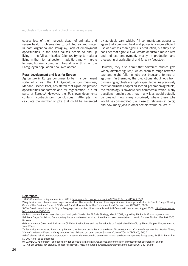causes loss of their harvest, death of animals, and severe health problems due to polluted air and water. In both Argentina and Paraguay, lack of employment opportunities in the cities causes people to end up living in the 'villas miserias' (slums), trying to make a living in the informal sector. In addition, many migrate to neighbouring countries. Around one third of the Paraguayan population now lives abroad.

#### **Rural development and jobs for Europe**

Agriculture in Europe continues to be in a permanent state of crisis. The EU Agriculture Commissioner, Mariann Fischer Boel, has stated that agrofuels provide opportunities for farmers and for regeneration in rural parts of Europe.<sup>9</sup> However, the EU's own documents contain contradictory conclusions. Attempts to calculate the number of jobs that could be generated

by agrofuels vary widely. All commentators appear to agree that combined heat and power is a more efficient use of biomass than agrofuels production, but they also consider that agrofuels will create or sustain more direct and indirect employment, mostly in production and processing of agricultural and forestry feedstock.

However, they also admit that "different studies give widely different figures," which seem to range between two and eight fulltime jobs per thousand tonnes of agrofuel. Furthermore, the predictions about jobs from processing agrofuels are highly speculative. As previously mentioned in the chapter on second-generation agrofuels, the technology is nowhere near commercialization. Many questions remain about how many jobs would actually be created, how many sustained, where these jobs would be concentrated (i.e. close to refineries at ports) and how many jobs in other sectors would be lost.<sup>10</sup>

#### **References:**

1) FAO Committee on Agriculture, April 2005, http://www.fao.org/docrep/meeting/009/j4313e.htm#P36\_2859)

2) Agribusiness and biofuels – an explosive mixture. The impacts of monoculture expansion on bioenergy production in Brazil, Energy Working Group of the Brazilian Forum of NGOs and Social Movements for the Environment and Development (FBOMS), 2006

4) Rural communities express dismay – "land grabs" fuelled by Biofuels Strategy, March 2007, signed by 29 South African organisations

5) Ethical Sugar, Social and Communitary impacts on biofuels markets; the ethanol case, presentation on World Biofuels Market, March 6 2007, Brussels

6) Ghosts on our Own Land: Indonesian Oil Palm Smallholders and the Roundtable on Sustainable Palm Oil, by Forest Peoples Programme and **SawitWatch** 

7) Territorios Ancestrales, Identidad y Palma: Una Lectura desde las Comunidades Afroecuatorianas. *Compiladores: Ana Ma. Núñez Torres, Vianneiz Valencia Piñeiro y Henry Ordóñez Lara. Editado por Juan García Salazar, FUNDACION ALTROPICO, 2007*

8) Refugiados del Modelo Agroexportador - Impactos del monocultivo de soja en las comunidades campesinas Paraguayas, BASEIS, Palau T. et al. 2007, still to be published

9) 10/01/2007Bioenergy - an opportunity for Europe's farmers http://ec.europa.eu/commission\_barroso/fischer-boel/archive\_en.htm

10) An EU Strategy for Biofuels, Impact Assessment, http://ec.europa.eu/agriculture/biomass/biofuel/sec2006\_142\_en.pdf

<sup>3)</sup> The Development Model for Soy in Paraguay- Irresponsible, Unsustainable and Anti-Democratic, Asuncion, August 2006, http://www.wervel. be/content/view/663/310/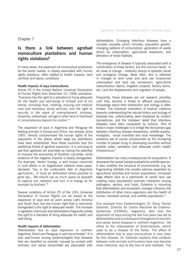# **Is there a link between agrofuel monoculture plantations and human rights violations?**

In many areas, the expansion of monoculture production for the world market, is closely associated with human rights violations, often related to health impacts, land conflicts and labour conditions.

#### **Health impacts of soya monocultures**

Article 25 in the United Nations Universal Declaration of Human Rights from December 10, 1948, proclaims: *''Everyone has the right to a standard of living adequate for the health and well-being of himself and of his family, including food, clothing, housing and medical care and necessary social services, and the right to security in the event of unemployment, sickness, disability, widowhood, old age or other lack of livelihood in circumstances beyond his control*.''1

The expansion of soya in Argentina and Paraguay for feeding animals in Europe and China, has already, since 1997, directly compromised the human rights of the population in the places where large soy plantations have been established. Now these countries face the additional threat of agrofuel expansion. It is worrying to see that agrofuels are promoted as having the potential to improve the economies of Southern countries, while evidence of the negative impacts is totally disregarded. For example, Hector Huergo, a well known columnist in rural affairs in an Argentinean national news paper, declared: *"soy is the undeniable fate of Argentine agriculture... It must be deforested where possible to grow soy... We should use as much space as possible to capture sun radiation and turn it to energy as for example by biofuels."*<sup>2</sup>

Several violations of Article 25 of the UN's Universal Declaration of Human Rights can be traced to the expansion of soya and oil palm across Latin America and South Asia, but one human right that is commonly disregarded is the right to adequate health. The increase in agrotoxic chemicals and deforestation flagrantly violate the right to a standard of living adequate for health and well-being.

#### **Health impacts of deforestation**

Deforestation due to soya expansion in northern Argentina, Brazil and Paraguay is well documented.<sup>3</sup> It is also well-known among epidemiologists that diseases that are classified as zoonotic (caused by contact with animals) and vector transmitted are associated with

deforestation. Emerging infectious diseases have a complex causality which includes: population growth, changing patterns of consumption, generation of waste driven by urbanisation, agricultural expansion, and alteration of forest habitats.

The emergence of disease is typically associated with a combination of these factors, but the common factor in all cases is change – relatively abrupt or episodic social and ecological change. Most often, this is reflected in changes to land cover and land use (unplanned urbanisation and land use conversion), agricultural intensification (dams, irrigation projects, factory farms, etc.) and the displacement and migration of people.

Frequently, these diseases are not research priorities until they become a threat to affluent populations. Knowledge about their distribution and biology is often limited. The historical orientation of tropical medicine towards understanding the natural history and ecology of diseases has, unfortunately, been displaced by modern biomedicine, and the mistaken belief that infectious diseases have been conquered by science. One of today's major challenges is to bridge the disciplinary gap between infectious disease researchers, wildlife experts, ecologists, social scientists and local knowledge. The problems are of course compounded by the increasing number of people living in developing countries without potable water, sanitation and adequate public health infrastructure.<sup>5</sup>

Deforestation has many consequences for ecosystems. It decreases the overall habitat available for wildlife species. It also modifies the structure of environments, e.g. by fragmenting habitats into smaller patches separated by agricultural activities and human populations. Increased edge effects (due to a patchwork of varied land use creating many boundaries) promote interaction among pathogens, vectors, and hosts. Evidence is mounting that deforestation and ecosystem changes influence the distribution of other micro-organisms and the health of human, domestic animal, and wildlife populations. 6

One example from Epidemiologist, Dr. Oscar Daniel Salomón, Director for Centro Nacional de Endemo-Epidemias (CENDIE), Argentina, tells how the expansion of soya during the last five years has led to deforestation and a subsequent emergence of zoonotic and vector borne diseases in northern Argentina.7 He refers to the urbanisation of leishmaniasis, which used to be a disease of the forest. The effect of deforestation due to soya monoculture is very clear for this disease. Dr. Salomón explains that contacts between wild animals and humans have now become more intensive, due to the loss of wild habitats. The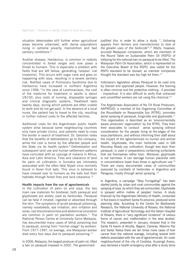situation deteriorates still further when agricultural areas become urbanised, with dense populations living in extreme poverty, malnutrition and bad sanitary conditions.<sup>8</sup>

Another disease, Hantavirus, is common in rodents concentrated in forest verges and now poses a threat to humans. This is especially a problem with fields that are left fallow, generating '*ratadas'* (rat invasions). This occurs with sugar cane and goes on happening with soya, resulting in a severe sanitary risk. Notified cases of Pulmonary Syndrome due to Hantavirus have increased in northern Argentina since 1996. <sup>9</sup> In the case of Leishmaniasis, the cost of the medicine for treatment in adults is about U\$100, plus costs of nursing, disposable syringes and clinical diagnostic systems. Treatment lasts twenty days, during which patients are often unable to work and do not get paid. In the absence of a local nurse, the patient has to travel to the city, resulting in further indirect costs to the affected families.

Additional costs for the Argentinean public health system arise because some neighbouring countries only have private clinics, and patients need to cross the border in search of treatment. Dr. Salomón notes that the benefits of deforestation go to the company, while the cost is borne by the affected people and the State via its health system.<sup>8</sup> Deforestation and subsequent land use and human settlement patterns have coincided with an upsurge of malaria in Africa, Asia and Latin America. Fires and clearance of land for palm oil cultivation in Sumatra are intimately associated with the often fatal Nipah virus normally found in Asian fruit bats. This virus is believed to have crossed over to humans as the bats lost their habitats through forest fires and land clearance.<sup>10</sup>

#### **Health impacts from the use of agrochemicals**

In the cultivation of palm oil and soya, the two main raw materials for biodiesel, both paraquat and glyphosate are widely used as herbicides. Paraquat can be fatal if inhaled, ingested or absorbed through the skin. The symptoms of acute paraquat poisoning, namely nosebleeds, eye irritation, skin irritation and sores, nail discoloration/loss and abdominal ulceration are common in palm oil plantation workers.<sup>11</sup> The National Poison Centre at University Sains Malaysia, has documented many cases of lethal poisoning due to paraquat, arising from "normal usage" by workers. From 1977-1997, on average, one Malaysian worker died every four days due to paraquat poisoning.<sup>12</sup>

In 2006, Malaysia, the largest producer of palm oil, lifted a ban on paraquat imposed in 2002. The government

justified this in order to allow a study *"...following appeals from farmers and manufacturers to look at the greater uses of the herbicide"*. 13 NGOs, however, accused Malaysian companies, which are members of the Round Table on Sustainable Palm Oil (RSPO) of lobbying for the national ban on paraquat to be lifted. The Malaysian Palm Oil Association, which is represented on the Executive Board of the RSPO, also called for the RSPO standard to be revised, as member companies thought the standard was too high for them.<sup>14</sup>

Indonesia's legislation allows Paraquat to be used only by trained and approved people. However, the training is often minimal and the protective clothing - if provided - impractical. It is also difficult to verify that untrained and uncertified workers are not using the chemical.<sup>16</sup>

The Argentinean Association of No Till Rural Producers, AAPRESID, a member of the Organising Committee of the Roundtable on Responsible Soy (RTRS), promotes aerial spraying of paraquat, fungicides and glyphosate.<sup>17</sup> This organisation is described as an 'environmentally aware producers' organization' by the RTRS. They train their associates to conduct aerial spraying without consideration for the people living at the edges of the soya plantations, and without informing their staff about the impact of the agrochemicals on human and animal health. Glyphosate, the main herbicide used in GM Roundup Ready soy cultivation, though less toxic than paraquat, is used in preparations containing surfactants that are themselves rather toxic. Moreover, glyphosate is not harmless. It can damage human placental cells in concentrations lower than those in agricultural use.<sup>18</sup> There are many documented cases of communities poisoned by cocktails of herbicides in Argentina and Paraguay, mostly through aerial spraying. 19

In Argentina, a campaign "Stop Fumigating!" has been started jointly by urban and rural communities against the spraying of soya, by which they are surrounded. Glyphosate is sprayed within metres of peoples' homes. A study financed by the Argentinean Ministry of Health, conducted in five towns in southern Santa Fe province, produced some alarming data. According to the Centre for Biodiversity Research, the National University of Rosario, the National Institute of Agricultural Technology and the Italian Hospital of Rosario, there is "very significant incidence" of various forms of cancer and malformation in the area studied. The research, presented in January, showed that in the Santa Fé towns of Alcorta, Bigand, Carreras, Máximo Paz and Santa Teresa there are ten times more cases of liver cancer than the national average, including several birth defects associated with the use of agrochemicals. An outer neighbourhood of the city of Cordoba, Ituzaingó Anexo, was declared a health emergency area after a study done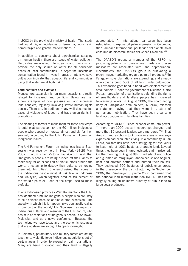in 2002 by the provincial ministry of health. That study had found higher incidences of leukemia, lupus, skin hemorrhages and genetic malformations.<sup>20</sup>

In addition to concerns about agrochemical spraying on human health, there are issues of water pollution. Herbicides are washed into streams and rivers which provide the only source of water for all household needs of local communities. In Argentina insecticide concentration found in rivers in areas of intensive soya cultivation indicate that aquatic life and communities using that water are at high risk. $21$ 

#### **Land conflicts and evictions**

Monoculture expansion is, on many occasions, directly related to increased land conflicts. Below are just a few examples of how pressure on land increases land conflicts, regularly involving severe human rights abuses. There are, in addition, many well documented cases of violations of labour and trade union rights in plantations.

The clearing of forests to make room for these new crops is putting at particular risk the 60 million indigenous people who depend on forests almost entirely for their survival, according to the U.N. Permanent Forum on Indigenous Issues.

The UN Permanent Forum on Indigenous Issues Sixth session was recently held in New York (14-25 May 2007). Forum chair Victoria Tauli-Corpuz said that "Indigenous people are being pushed off their lands to make way for an expansion of biofuel crops around the world, threatening to destroy their cultures by forcing them into big cities". She emphasized that some of the indigenous people most at risk live in Indonesia and Malaysia, which together produce 80 percent of the world's palm oil - one of the crops used to make biofuels.

In one Indonesian province - West Kalimantan - the U.N. has identified 5 million indigenous people who are likely to be displaced because of biofuel crop expansion. 'The speed with which this is happening we don't really realize in our part of the world,' Ida Nicolaisen, an expert in indigenous cultures and member of the U.N. forum, who has studied violations of indigenous people in Sarawak, Malaysia, said at a news conference. 'Because the technology we have today and the economic resources that are at stake are so big, it happens overnight.'

In Colombia, paramilitary and military forces are acting together to violently force indigenous populations out of certain areas in order to expand oil palm plantations. Many are being displaced and their land is illegally

appropriated. An international campaign has been established to expose oil palm expansion in Colombia, the "Campaña Internacional por la Vida del planeta no al consumo de biocombustibles del Chocó Colombia."22

The DAABON group, a member of the RSPO, is producing palm oil in zones where murders and even massacres are associated with land appropriation. Nevertheless, the DAABON group is cultivating a green image, marketing organic palm oil products. <sup>23</sup> In Paraguay, soya plantations are expanding, and already now cover around 60% of all land under cultivation. This expansion goes hand in hand with displacement of smallholders. Under the government of Nicanor Duarte Frutos, repression of organisations defending the rights of smallholders and landless people has increased to alarming levels. In August 2006, the coordinating body of Paraguayan smallholders, MCNOC, released a statement saying that they were in a state of permanent mobilisation. They have been organizing land occupations with landless families.

According to MCNOC, since Nicanor came into power, "...more than 2000 peasant leaders got charged, and more that 15 peasant leaders were murdered.'' 24 That August, land evictions took place in areas where soya expansion had been intensifying. In a community in San Pedro, 90 families have been struggling for five years to keep hold of 1001 hectares of arable land. Several times they have been injured, evicted, and imprisoned. On the morning of August 9th, hundreds of riot police and gunmen of Paraguayan landowner Calixto Saguier, beat and arrested settlers and burned their houses. They destroyed 600 hectares of subsistence crops, in the presence of the district attorney. In September 2006, the Paraguayan Supreme Court confirmed that the national land reform institution INDERT has been illegally selling an unknown quantity of public land to large soya producers.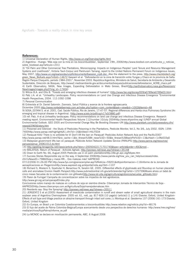#### **References:**

1) Universal Declaration of Human Rights, http://www.un.org/Overview/rights.html

2) Argentina - Huergo: 'Más soja con la mira en los biocombustibles', September 19th, 2006(http://www.biodisol.com.ar/articulos\_y\_noticias\_ sobre\_biodiesel.asp?articulo=231)

3) "Oil Palm and Other Commercial Tree Plantations, Monocropping: Impacts on Indigenous Peoples' Land Tenure and Resource Management Systems and Livelihoods", Victoria Tauli-Corpuz and Parshuram Tamang, report to the United Nations Permanent Forum on Indigenous Issues, May 2007, http://www.un.org/esa/socdev/unpfii/documents/6session\_crp6.doc. Also the statement to the press: http://www.checkbiotech.org/ green\_News\_Biofuels.aspx?infoId=14672 Gasparri et al. "Deforestación en la zona de transición entre Yungas y Chaco en la provincia de Salta. Región Parque Chaqueño, período 1984-2001". November 2003. República Argentina, Ministerio de Salud, Secretaría de Ambiente y Desarrollo Sustentable, Dirección de Bosques, http://www2.medioambiente.gov.ar/documentos/bosques/publicaciones/deforestacion\_ACRB\_chaco.pdf 4) Earth Observatory, NASA, New Images, Expanding Deforestation in Mato Grosso, Brazil(http://earthobservatory.nasa.gov/Newsroom/ NewImages/images.php3?img\_id=17404)

5) Wilcox B.A. and Ellis B. "Forests and emerging infectious diseases of humans".(http://www.fao.org/docrep/009/a0789e/a0789e03.htm) 6) Patz J.A. et al. "Unhealthy Landscapes: Policy recommendations on Land Use Change and Infectious Disease Emergence "Environmental Health Perspectives, 2004. 112:1092-1098

7) Personal Communication

8) Entrevista al Dr. Daniel Salomón. Zoonosis, Salud Pública y avance de la frontera agropecuaria.

Diciembre 2005 http://www.nortedelbermejo.com.ar/index.php?option=com\_content&task=view&id=1002&Itemid=48

9) SOSA\_ESTANI S. et al. 2001, Cad. Saúde Pública, Rio de Janeiro, 17:47-57. Regional differences and Hanta virus Pulmonary Syndrome (An emerging and tropical disease in Argentina). (http://www.scielo.br/pdf/csp/v17s0/3880.pdf)

10) ref: Patz. A et al.Unhealthy landscapes: Policy recommendations on land use change and infectious Disease Emergence. Research meeting report. Environmental Health Perspectives Volume 112/number 10/July 2004http://www.ehponline.org/ (UNEP annual Global Environmental Outlook. GEO 2005 and Environmental Change May Be Boosting Diseases–UN http://www.planetark.com/dailynewsstory.cfm/ newsid/29656/story.htm

11) Poisoned and Silenced - the Study of Pesticides Poisoning in the Plantations, Pesticide Monitor, Vol 2, No 3/6, July 2002. ISSN: 1394- 7400http://www.panap.net/highlightsA1.cfm?id=16&hiliteid=HILITE04

12) Paraquat Kills! There is no antidote for it! Don't lift the ban on Paraquat! Pesticides Action Network Asia and the Pacific/2007

http://www.panap.net/48.0.html?&no\_cache=1&tx\_ttnews%5Btt\_news%5D=50&tx\_ttnews%5BbackPid%5D=13&cHash=1c9fa533a0 13) Malaysian government lifts ban on paraquat: Pesticide Action Network Updates Service (PANUPS) http://www.panna.org/resources/ panups/panup\_20061012.dv.html

14) http://geeklog.tenaganita.net/classic/article.php?story=20050422171701740&type=article&order=ASC&mod...

15) MALAYSIA: Return of Paraquat - Activists Aghast, http://ipsnews.net/news.asp?idnews=35148

16) Down to Earth No. 66, August 2005 Pesticide use in oil palm plantationshttp://dte.gn.apc.org/66pes.htm

17) Success Stories Responsible soy on the way, 4 September 2006http://www.panda.org/how\_you\_can\_help/successes/index.

cfm?uNewsID=79860Soja y maize RR... Dos malezas más? AAPRESID

07/12/2006 01:26:00 PM http://www.fyo.com/granos/ampliar.asp?IdNoticia=59201&idtipoinformacion=116Informe de la Jornada de aeroaplicaciones en Pergaminohttp://www.aapresid.org.ar/elportal/nota.asp?did=1107

18) Richard S, Moslemi S, Sipahutar H, Benachour N, Seralini GE. 2005. Differential effects of glyphosate and Roundup on human placental cells and aromatase Environ Health Perspect:http://www.pubmedcentral.nih.gov/articlerender.fcgi?artid=1257596Muere ahora un bebé de cinco meses Secuelas de la contaminación con glifosato(http://www.rel-uita.org/agricultura/agrotoxicos/secuelas\_glifosato.htm)

19) Paren de Fumigar! Campaña de concientizacion sobre los impactos de lost agrotoxicos.

http://www.grr.org.ar/campanapdf/index.php

Conclusiones sobre manejo de malezas en cultivos de soja en siembra directa- Cibercampo Jornada de Intercambio Técnico de Soja - AAPRESIDhttp://www.cibercampo.com.ar/Agricultura/Soja/manejodemalezas.htm

20) Residents say: Stop the Spraying! http://ipsnews.net/news.asp?idnews=35511

21) JERGENTZ S et al.(2005) Assessment of insecticide contamination in runoff and stream water of small agricultural streams in the main soybean area of Argentina Chemosphere- 2005 vol. 61, no6, pp. 817-826 [10 page(s) (article)] (1 p.1/4) Elsevier, Oxford, United Kingdom-Effects of soil type and tillage practice on atrazine transport through intact soil cores J.c Montoya et al. Geoderma 137 (2006) 161-173 Elsevier, Oxford, United Kingdom

22) En Europa, en Brasil y en Colombia Cuestionamientos a biocombustibles http://www.rebelion.org/noticia.php?id=48176

23) El fujo del aceite de Palma Colombia-Belgica/Europa acercamiento desde una perspectiva de derechos humanos- http://www.hrev.org/hrev/ media/archivos/flujoPalma/informe\_es.pdf

24) La MCNOC se declara en movilización permanente, ABC, 6 August 2006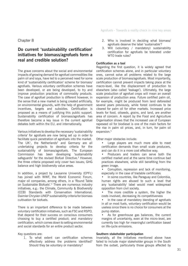Chapter 8

# **Do current 'sustainability certification' initiatives for biomass/agrofuels form a real and credible solution?**

The grave concerns about the social and environmental impacts of growing demand for agrofuel commodities like palm oil and soya, have led to a perceived need for some kind of 'sustainability certification' scheme for biomass/ agrofuels. Various voluntary certification schemes have been developed, or are being developed, to try and improve production practices of commodity products. The case of agrofuel production is different however, in the sense that a new market is being created artificially, on environmental grounds, with the help of government incentives, targets and subsidies. Certification is proposed as a means of justifying this public support. Sustainability certification of biomass/agrofuels has therefore become a key issue in the current agrofuel debates both within the EU, and internationally.

Various initiatives to develop the necessary 'sustainability criteria' for agrofuels are now being set up in order to facilitate quick penetration of agrofuels into the market. The  $UK<sup>1</sup>$ , the Netherlands<sup>2</sup> and Germany are all undertaking projects to develop criteria for the sustainability of biomass/agrofuels. The European Commission has been developing 'sustainability safeguards' for the revised Biofuel Directive.<sup>3</sup> However, the three criteria proposed only cover two issues; GHG balance and high biodiversity value areas.

In addition, a project by Lausanne University (EPFL) has joined with WWF, the World Economic Forum, major oil companies, among others, in a 'Round Table on Sustainable Biofuels'.4 There are numerous industry initiatives, e.g.: the Climate, Community & Biodiversity (CCB) Standards with Conservation International; Daimler Chrysler-UNEP sustainability criteria for biomass cultivation for biofuels.

There is an important difference to be made between *voluntary* certification initiatives, such as FSC and RSPO, that depend for their success on conscious consumers choosing to buy a certified product; and *mandatory* certification, which comes down to setting environmental and social standards for an entire product sector.

Key questions are:

1. To what extent can certification schemes effectively address the problems identified? Should they be voluntary or mandatory?

- 2. Who is involved in deciding what biomass/ agrofuels deserve the label 'sustainable'?
- 3. Will (voluntary / mandatory) sustainability certification for agrofuels be tolerated under WTO trade rules?

#### **Certification as a tool**

Regarding the first question, it is widely agreed that certification schemes alone, and in particular voluntary ones, cannot solve all problems related to the large scale production of biomass/agrofuels. Most importantly, certification cannot prevent impacts taking place at the macro-level, like the displacement of production to elsewhere (also called 'leakage'). Ultimately, the large scale production of agrofuel crops will mean an overall expansion of production area. Future certified palm oil, for example, might be produced from land deforested several years previously, while forest continues to be cleared for palm oil for other markets. Increased price levels for food, oilseeds, grains, and land, are another area of concern. A report by the Food and Agriculture Organisation shows that the increased use of European rapeseed oil for biodiesel is one of the main factors for the rise in palm oil prices, and, in turn, for palm oil expansion.<sup>5</sup>

Other major obstacles include:

Large players are much more able to meet certification demands than small scale producers, and can do it in a more cost effective way.

• Producers and traders can serve both the certified market and at the same time continue bad practices elsewhere, while still benefiting from the green image.

Corruption, repression and lack of monitoring, especially in the case of tradable certificates

• In some countries, like Paraguay and Colombia, human rights are abused to such a level that any 'sustainability' label would meet widespread opposition from civil society.

The more credible a system, the higher the costs involved, decreasing its competitiveness

In the case of mandatory blending of agrofuels in all or most fuels, voluntary certification would be useless since there is no choice for consumers at the pump station.

As for greenhouse gas balances, the current margins of uncertainty, even at the micro-level, are currently too high for meaningful certification based on life-cycle emissions.

#### **Southern stakeholder participation**

Invariably, all the initiatives mentioned above have failed to include major stakeholder groups in the South from the outset, particularly those groups affected by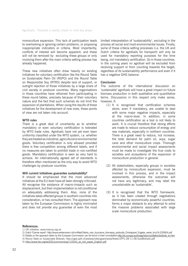monoculture expansion. This lack of participation leads to overlooking or ignoring certain problems, or proposing inappropriate indicators or criteria. Most importantly, conflicts of interest will become apparent, and these will not be removed by excluding these groups or only involving them after the main criteria setting process has already happened.

These new initiatives often draw heavily on existing initiatives for voluntary certification like the Round Table on Sustainable Palm Oil (RSPO) and the Round Table on Responsible Soy (RTRS) despite lack of support, or outright rejection of those initiatives by a large share of civil society in producer countries. Many organisations in those countries have refrained from participating in these round tables, precisely because of their voluntary nature and the fact that such schemes do not limit the expansion of plantations. When using the results of these initiatives for the development of new ones, these points of view are not taken into account.

#### **WTO rules**

There is a great deal of uncertainty as to whether mandatory or even voluntary certification is tolerated by WTO trade rules. Agrofuels have not yet even been uniformly classified under the WTO system, i.e. whether they are treated as industrial, agricultural or environmental goods. Voluntary certification is only allowed provided there is free competition among different labels, and if no measures are taken to prohibit trade in non-certified goods. Mandatory certification is seen as very hard to achieve. An internationally agreed set of standards is therefore often mentioned as the only way to avoid WTO challenges by producer countries.

#### **Will current initiatives guarantee sustainability?**

It should be emphasized that the more advanced initiatives at the EU level have all been strongly criticised. All recognise the existance of macro-impacts such as displacement, but their implementation is not conditional on adequately addressing them. Also, none of the initiatives takes affected groups in southern countries into consideration, or has consulted them. The approach now taken by the European Commission is highly minimalist and does not provide any guarantee of even the most limited interpretation of 'sustainability', excluding in the process all social and most environmental issues. Finally, some of these criteria setting processes (i.e. the UK and Dutch criteria for agrofuels for transport) will only be used for mandatory reporting purposes for the time being, *not* mandatory certification. So in those countries, in the coming years *no* agrofuel will be excluded from receiving support or from counting towards the target, regardless of its sustainability performance and even if it has a negative GHG balance.

#### **Conclusion**

The outcome of the international discussion on 'sustainable' agrofuels will have a great impact on future biomass production in both qualitative and quantitative terms. Discussions in this respect only make sense, however, if:

- (1) It is recognised that certification schemes alone, even if mandatory, are unable to deal with some major negative impacts, especially at the macro-level. In addition, in some countries certification as a tool is not likely to work. It is crucial therefore that strong efforts are made to reduce consumption of energy and raw materials, especially in northern countries. There is a great need to reduce, not increase, the total demand for palm oil, soya, sugar cane and other monoculture crops. Thorough environmental and social impact assessments must be made to investigate the true costs to societies and ecosystems of the expansion of monoculture production in general.
- (2) All stakeholders, especially groups in societies affected by monoculture expansion, must be involved in this process, and in the impact assessments, otherwise the outcomes will not have any legitimacy, and may label the unsustainable as 'sustainable'.
- (3) It is recognised that the WTO framework, as it has been created through negotiations dominated by economically powerful countries, forms a major obstacle to any attempt to solve the massive problems associated with large scale monoculture production.

#### **References:**

- 1) UK initiative: www.lowcvp.org.uk
- 2) Dutch 'Cramer report': http://www.senternovem.nl/mmfiles/Criteria\_voor\_duurzame\_biomassa\_productie\_Eindrapport\_Engelse\_versie\_tcm24-205854.pdf
- 3) Details on the approach taken by the European Commission can be found in their consultation:http://ec.europa.eu/energy/res/consultation/biofuels\_en.htm

4) Round Table on Sustainable Biofuels: http://cgse.epfl.ch/webdav/site/cgse/shared/Notes-EPFL-28-11-06-SustBiofuels.pdf

5) http://www.fao.org/es/ESC/common/ecg/110542\_en\_full\_paper\_English.pdf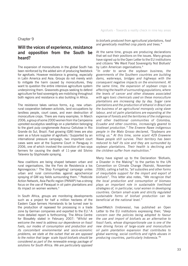# **Will the voices of experience, resistance and opposition from the South be heard?**

The expansion of monocultures in the global South has been reinforced by the added aim of producing feedstock for agrofuels. However resistance is growing, especially in Latin America and Asia. Groups do not merely wish to mitigate the harm caused by monocultures, they want to question the entire intensive agriculture system underpinning them. Grassroots groups seeking to defend agriculture for food sovereignty are mobilising throughout both regions and resistance is also building in Africa.

The resistance takes various forms, e.g. new urbanrural cooperation between activists, land occupations by landless people, court cases, and even destruction of monoculture crops. There are many examples. In March 2006, a group of some 2000 women from Via Campesina uprooted eucalyptus seedlings on a plantation belonging to the giant pulp conglomerate Aracruz Cellulose in Rio Grande do Sul, Brazil. Fast growing (GM) trees are also seen as a future supplier of agrofuels.<sup>1</sup> Supported by an international pressure campaign, two important court cases were won at the Supreme Court in Paraguay in 2006, one of which involved the conviction of two soya farmers for causing the death of 11-year old Silvino Talavera by Glyphosate spraying.

New coalitions are being shaped between urban and rural organisations, like the Foro de Resistencia a los Agronegocios.2 The Stop Fumigating! campaign unites urban and rural communities against agrochemical spraying of GM soy fields surrounding them. 3 Pesticide Action Network, Asia Pacific region (PANAP) has a strong focus on the use of Paraquat in oil palm plantations and its impact on women workers.4

In South Africa, groups are monitoring developments such as a project for half a million hectares of the Eastern Cape farmers Homelands to be turned over to the production of rapeseed for processing in a trade zone by German companies and exported to the EU.<sup>5</sup> A more detailed report is forthcoming. The Africa Centre for Biosafety stated in February 2007: *"Whilst we welcome the need to address our dependence on fossil fuels, our modes of consumption and production and its concomitant environmental and socio-economic problems, we state at the outset that we are opposed to the notion that large- scale liquid biofuels should be considered as part of the renewable energy package of solutions for South Africa. We are particularly opposed* 

*to biofuels produced from agricultural plantations, food and genetically modified crop plants and trees."*

At the same time, groups are producing declarations that set out their positions on the issues. Many groups have signed up to the Open Letter to the EU institutions and citizens 'We Want Food Sovereignty Not Biofuels' by Latin American organisations.<sup>6</sup>

"*In order to serve the soybean business, the governments of the Southern countries are building dams, waterways, bridges and highways with the consequent negative impacts on the environment. At the same time, the expansion of soybean crops is affecting the health of surrounding populations, where the levels of cancer and other diseases associated with agro toxic chemicals used on these monoculture plantations are increasing day by day. Sugar cane plantations and the production of ethanol in Brazil are the business of an agricultural monopoly using slave labour, and oil palm plantations are expanding at the expense of forests and the territories of the indigenous and other traditional communities of Colombia, Ecuador and other countries, increasingly geared to biodiesel production." The Enwene Nawe indigenous people in the Mato Grosso declared, "Soybeans are killing us." At this time, some scant 429 Enawene Nawe people still survive. Their territory has been reduced to half its size and they are surrounded by soybean plantations. Their health is declining and the children suffer from malnutrition."*

Many have signed up to the Declaration 'Biofuels, a Disaster in the Making'7 to the parties to the UN Convention on Climate Change (Nairobi, November 2006), calling a halt to, *"all subsidies and other forms of inequitable support for the import and export of biofuels"*. This letter also notes, *"We recognize that the local production and consumption of biomass plays an important role in sustainable livelihood strategies of, in particular, rural women in developing countries. Certain small-scale and strictly regulated sustainable forms of biofuel production can be beneficial at the national level."*

SawitWatch (Indonesia), has published an Open Letter to the EU institutions expressing their, *"deep concern over the policies being adopted to favour the use and import of biofuels as an alternative to fossil fuels, whose disproportionate use is one of the new driving forces of large-scale and monoculture oil palm plantation expansion that contributes to global warming, social conflicts and rights abuses in producing countries, particularly Indonesia."*8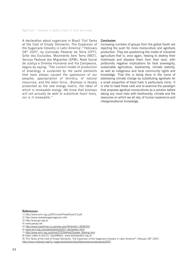Agrofuels - Towards a reality check in nine key areas

A declaration about sugarcane in Brazil 'Full Tanks at the Cost of Empty Stomachs: The Expansion of the Sugarcane Industry in Latin America',<sup>9</sup> February 28th 2007, by Comissão Pastoral da Terra (CPT), Grito dos Excluídos, Movimento Sem Terra (MST), Serviço Pastoral dos Migrantes (SPM), Rede Social de Justiça e Direitos Humanos and Via Campesina, begins by saying: *"The current model of production of bioenergy is sustained by the same elements that have always caused the oppression of our peoples: appropriation of territory, of natural resources, and the labor force…Biomass is falsely presented as the new energy matrix, the ideal of which is renewable energy. We know that biomass will not actually be able to substitute fossil fuels, nor is it renewable."*

#### **Conclusion**

Increasing numbers of groups from the global South are rejecting the push for more monoculture and agrofuels production. They are questioning the model of industrial agriculture that is, once again, helping to destroy their livelihoods and displace them from their land, with profoundly negative implications for food sovereignty, sustainable agriculture, biodiversity, climate stability, as well as indigenous and local community rights and knowledge. That this is being done in the name of addressing climate change by substituting agrofuels for a small proportion of fossil fuels is particularly ironic. It is vital to heed these calls and re-examine the paradigm that proposes agrofuel monocultures as a solution before taking any more risks with biodiversity, climate and the resources on which we all rely, of human experience and intergenerational knowledge.

#### **References:**

- 1) http://www.wrm.org.uy/GFC/cover/ForestCover19.pdf
- 2) http://www.resistalosagronegocios.info/
- 3) http://www.grr.org.ar/
- 4) www.panap.net
- 5) http://www.capetimes.co.za/index.php?fArticleId=3696355
- 6) www.wrm.org.uy/subjects/biofuels/EU\_declaration.html
- 7) http://www.wrm.org.uy/actors/CCC/Nairobi/Disaster\_Making.html
- 8) Open Letter to the EU, SawitWatch, www.biofuelwatch.org.uk
- 9) 'Full Tanks at the Cost of Empty Stomachs: The Expansion of the Sugarcane Industry in Latin America<sup>'8</sup>, February 28<sup>th</sup> 2007, http://www.mstbrazil.org/?q=sugarcaneindustrybrazillatinamericamstanalysis2007